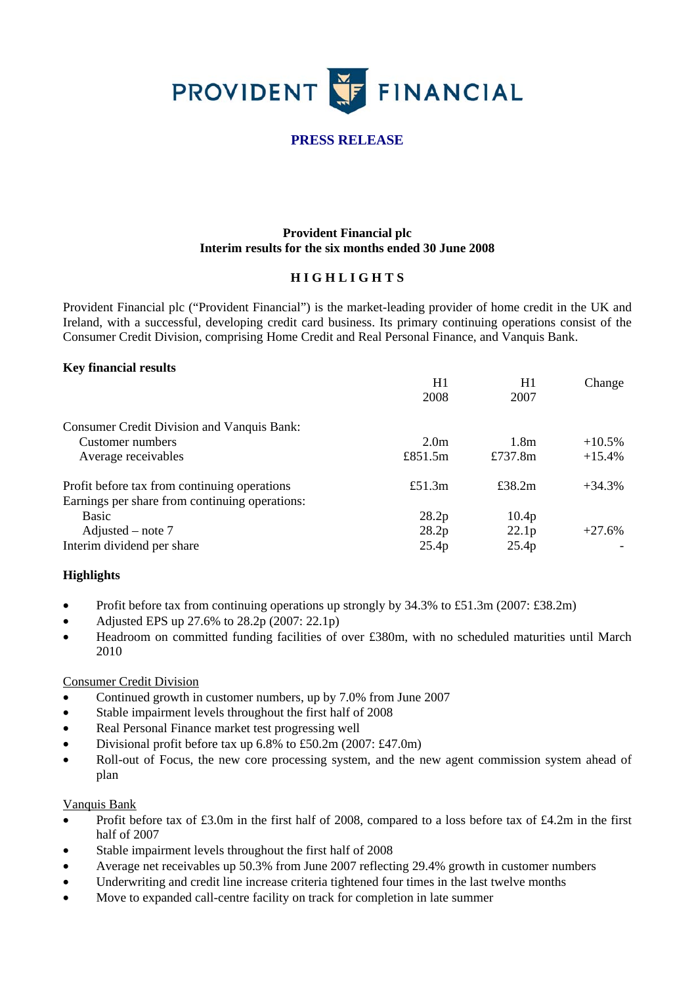

# **PRESS RELEASE**

# **Provident Financial plc Interim results for the six months ended 30 June 2008**

## **H I G H L I G H T S**

Provident Financial plc ("Provident Financial") is the market-leading provider of home credit in the UK and Ireland, with a successful, developing credit card business. Its primary continuing operations consist of the Consumer Credit Division, comprising Home Credit and Real Personal Finance, and Vanquis Bank.

#### **Key financial results**

|                                                                                                | H1               | H1                | Change    |
|------------------------------------------------------------------------------------------------|------------------|-------------------|-----------|
|                                                                                                | 2008             | 2007              |           |
| <b>Consumer Credit Division and Vanquis Bank:</b>                                              |                  |                   |           |
| Customer numbers                                                                               | 2.0 <sub>m</sub> | 1.8 <sub>m</sub>  | $+10.5\%$ |
| Average receivables                                                                            | £851.5 $m$       | £737.8m           | $+15.4%$  |
| Profit before tax from continuing operations<br>Earnings per share from continuing operations: | £51.3 $m$        | £38.2m            | $+34.3%$  |
| Basic                                                                                          | 28.2p            | 10.4 <sub>p</sub> |           |
| Adjusted – note $7$                                                                            | 28.2p            | 22.1p             | $+27.6%$  |
| Interim dividend per share                                                                     | 25.4p            | 25.4p             |           |

### **Highlights**

- Profit before tax from continuing operations up strongly by 34.3% to £51.3m (2007: £38.2m)
- Adjusted EPS up  $27.6\%$  to  $28.2p$  (2007: 22.1p)
- Headroom on committed funding facilities of over £380m, with no scheduled maturities until March 2010

#### Consumer Credit Division

- Continued growth in customer numbers, up by 7.0% from June 2007
- Stable impairment levels throughout the first half of 2008
- Real Personal Finance market test progressing well
- Divisional profit before tax up 6.8% to £50.2m (2007: £47.0m)
- Roll-out of Focus, the new core processing system, and the new agent commission system ahead of plan

#### Vanquis Bank

- Profit before tax of £3.0m in the first half of 2008, compared to a loss before tax of £4.2m in the first half of 2007
- Stable impairment levels throughout the first half of 2008
- Average net receivables up 50.3% from June 2007 reflecting 29.4% growth in customer numbers
- Underwriting and credit line increase criteria tightened four times in the last twelve months
- Move to expanded call-centre facility on track for completion in late summer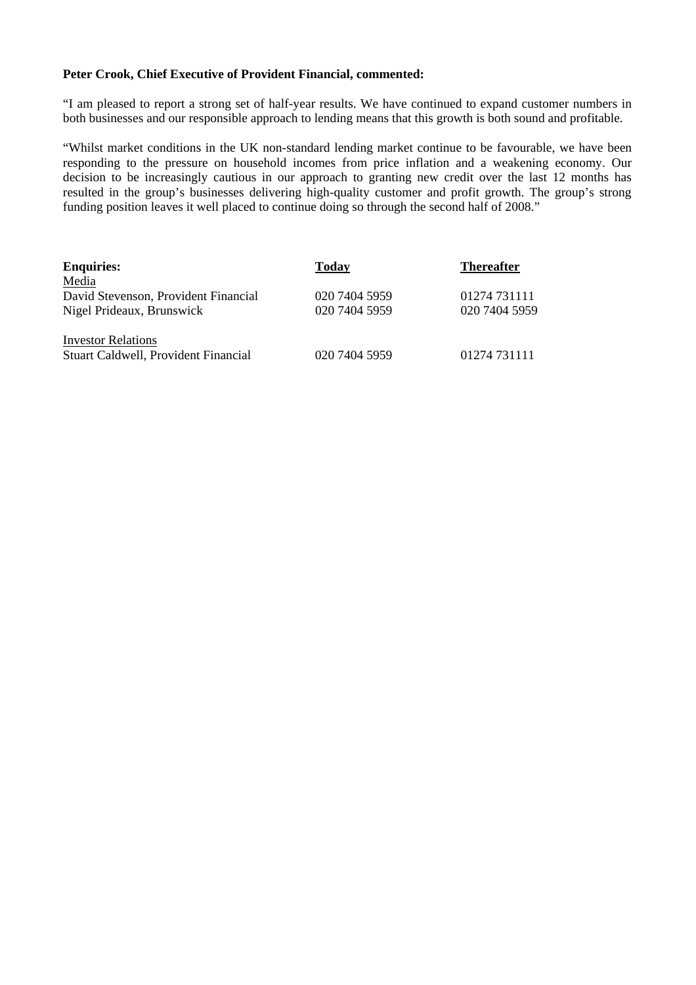## **Peter Crook, Chief Executive of Provident Financial, commented:**

"I am pleased to report a strong set of half-year results. We have continued to expand customer numbers in both businesses and our responsible approach to lending means that this growth is both sound and profitable.

"Whilst market conditions in the UK non-standard lending market continue to be favourable, we have been responding to the pressure on household incomes from price inflation and a weakening economy. Our decision to be increasingly cautious in our approach to granting new credit over the last 12 months has resulted in the group's businesses delivering high-quality customer and profit growth. The group's strong funding position leaves it well placed to continue doing so through the second half of 2008."

| <b>Enquiries:</b>                    | Today         | <b>Thereafter</b> |
|--------------------------------------|---------------|-------------------|
| Media                                |               |                   |
| David Stevenson, Provident Financial | 020 7404 5959 | 01274 731111      |
| Nigel Prideaux, Brunswick            | 020 7404 5959 | 020 7404 5959     |
| <b>Investor Relations</b>            |               |                   |
| Stuart Caldwell, Provident Financial | 020 7404 5959 | 01274 731111      |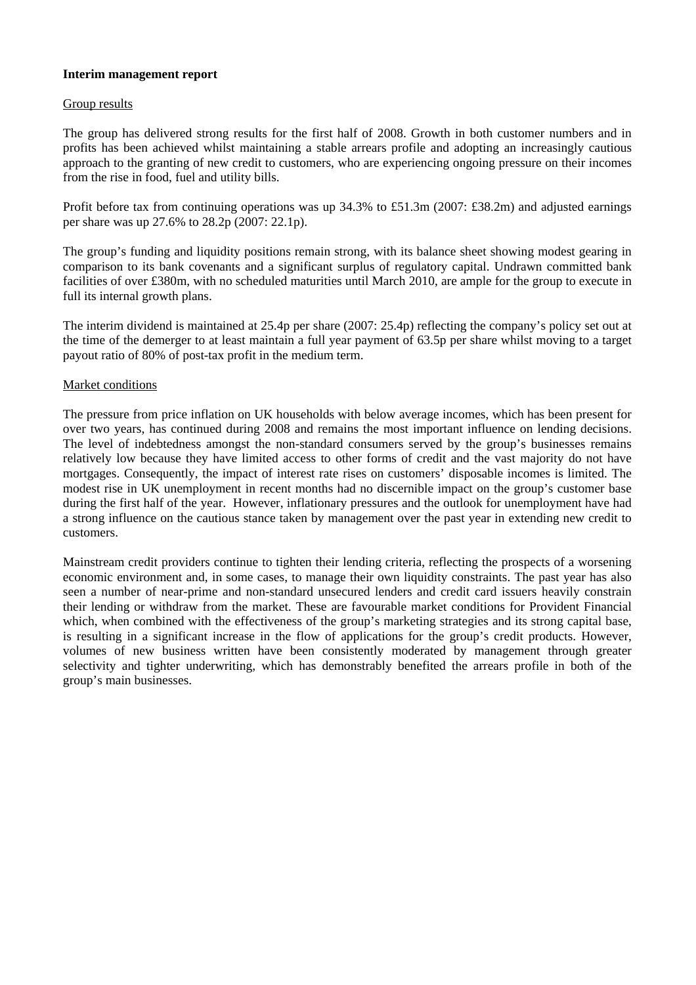### **Interim management report**

#### Group results

The group has delivered strong results for the first half of 2008. Growth in both customer numbers and in profits has been achieved whilst maintaining a stable arrears profile and adopting an increasingly cautious approach to the granting of new credit to customers, who are experiencing ongoing pressure on their incomes from the rise in food, fuel and utility bills.

Profit before tax from continuing operations was up 34.3% to £51.3m (2007: £38.2m) and adjusted earnings per share was up 27.6% to 28.2p (2007: 22.1p).

The group's funding and liquidity positions remain strong, with its balance sheet showing modest gearing in comparison to its bank covenants and a significant surplus of regulatory capital. Undrawn committed bank facilities of over £380m, with no scheduled maturities until March 2010, are ample for the group to execute in full its internal growth plans.

The interim dividend is maintained at 25.4p per share (2007: 25.4p) reflecting the company's policy set out at the time of the demerger to at least maintain a full year payment of 63.5p per share whilst moving to a target payout ratio of 80% of post-tax profit in the medium term.

#### Market conditions

The pressure from price inflation on UK households with below average incomes, which has been present for over two years, has continued during 2008 and remains the most important influence on lending decisions. The level of indebtedness amongst the non-standard consumers served by the group's businesses remains relatively low because they have limited access to other forms of credit and the vast majority do not have mortgages. Consequently, the impact of interest rate rises on customers' disposable incomes is limited. The modest rise in UK unemployment in recent months had no discernible impact on the group's customer base during the first half of the year. However, inflationary pressures and the outlook for unemployment have had a strong influence on the cautious stance taken by management over the past year in extending new credit to customers.

Mainstream credit providers continue to tighten their lending criteria, reflecting the prospects of a worsening economic environment and, in some cases, to manage their own liquidity constraints. The past year has also seen a number of near-prime and non-standard unsecured lenders and credit card issuers heavily constrain their lending or withdraw from the market. These are favourable market conditions for Provident Financial which, when combined with the effectiveness of the group's marketing strategies and its strong capital base. is resulting in a significant increase in the flow of applications for the group's credit products. However, volumes of new business written have been consistently moderated by management through greater selectivity and tighter underwriting, which has demonstrably benefited the arrears profile in both of the group's main businesses.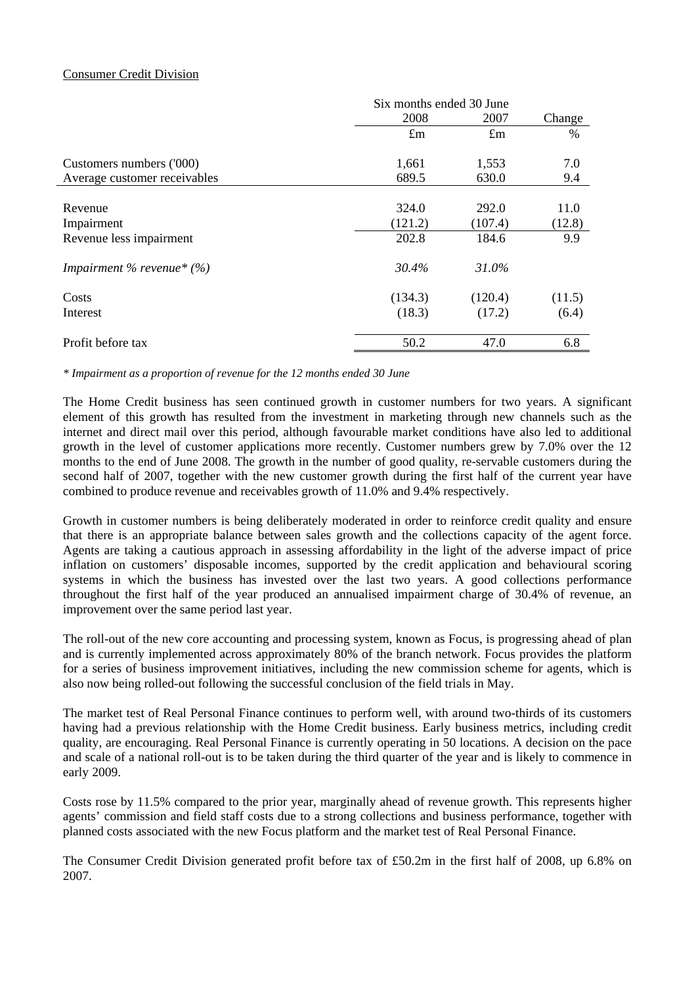## Consumer Credit Division

|                              | Six months ended 30 June |             |        |
|------------------------------|--------------------------|-------------|--------|
|                              | 2008                     | 2007        | Change |
|                              | $\pounds$ m              | $\pounds$ m | $\%$   |
| Customers numbers ('000)     | 1,661                    | 1,553       | 7.0    |
| Average customer receivables | 689.5                    | 630.0       | 9.4    |
|                              |                          |             |        |
| Revenue                      | 324.0                    | 292.0       | 11.0   |
| Impairment                   | (121.2)                  | (107.4)     | (12.8) |
| Revenue less impairment      | 202.8                    | 184.6       | 9.9    |
| Impairment % revenue* $(\%)$ | 30.4%                    | 31.0%       |        |
| Costs                        | (134.3)                  | (120.4)     | (11.5) |
| Interest                     | (18.3)                   | (17.2)      | (6.4)  |
| Profit before tax            | 50.2                     | 47.0        | 6.8    |

*\* Impairment as a proportion of revenue for the 12 months ended 30 June* 

The Home Credit business has seen continued growth in customer numbers for two years. A significant element of this growth has resulted from the investment in marketing through new channels such as the internet and direct mail over this period, although favourable market conditions have also led to additional growth in the level of customer applications more recently. Customer numbers grew by 7.0% over the 12 months to the end of June 2008. The growth in the number of good quality, re-servable customers during the second half of 2007, together with the new customer growth during the first half of the current year have combined to produce revenue and receivables growth of 11.0% and 9.4% respectively.

Growth in customer numbers is being deliberately moderated in order to reinforce credit quality and ensure that there is an appropriate balance between sales growth and the collections capacity of the agent force. Agents are taking a cautious approach in assessing affordability in the light of the adverse impact of price inflation on customers' disposable incomes, supported by the credit application and behavioural scoring systems in which the business has invested over the last two years. A good collections performance throughout the first half of the year produced an annualised impairment charge of 30.4% of revenue, an improvement over the same period last year.

The roll-out of the new core accounting and processing system, known as Focus, is progressing ahead of plan and is currently implemented across approximately 80% of the branch network. Focus provides the platform for a series of business improvement initiatives, including the new commission scheme for agents, which is also now being rolled-out following the successful conclusion of the field trials in May.

The market test of Real Personal Finance continues to perform well, with around two-thirds of its customers having had a previous relationship with the Home Credit business. Early business metrics, including credit quality, are encouraging. Real Personal Finance is currently operating in 50 locations. A decision on the pace and scale of a national roll-out is to be taken during the third quarter of the year and is likely to commence in early 2009.

Costs rose by 11.5% compared to the prior year, marginally ahead of revenue growth. This represents higher agents' commission and field staff costs due to a strong collections and business performance, together with planned costs associated with the new Focus platform and the market test of Real Personal Finance.

The Consumer Credit Division generated profit before tax of £50.2m in the first half of 2008, up 6.8% on 2007.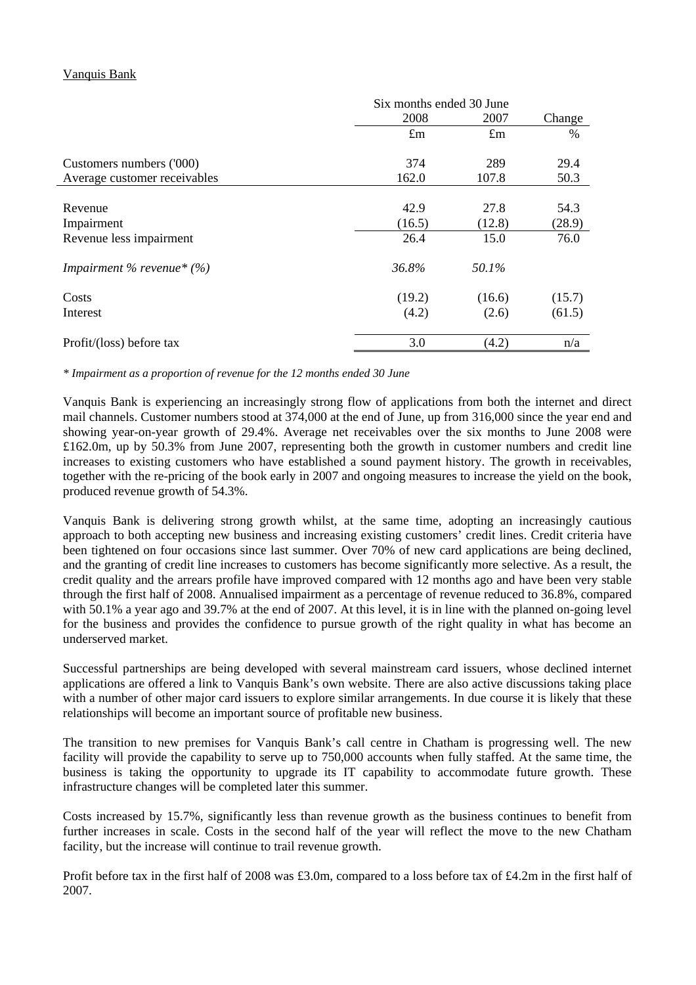# Vanquis Bank

|                              | Six months ended 30 June |             |        |
|------------------------------|--------------------------|-------------|--------|
|                              | 2008                     | 2007        | Change |
|                              | $\pounds$ m              | $\pounds$ m | %      |
| Customers numbers ('000)     | 374                      | 289         | 29.4   |
| Average customer receivables | 162.0                    | 107.8       | 50.3   |
|                              |                          |             |        |
| Revenue                      | 42.9                     | 27.8        | 54.3   |
| Impairment                   | (16.5)                   | (12.8)      | (28.9) |
| Revenue less impairment      | 26.4                     | 15.0        | 76.0   |
| Impairment % revenue* $(%)$  | 36.8%                    | 50.1%       |        |
| Costs                        | (19.2)                   | (16.6)      | (15.7) |
| Interest                     | (4.2)                    | (2.6)       | (61.5) |
| Profit/(loss) before tax     | 3.0                      | (4.2)       | n/a    |

*\* Impairment as a proportion of revenue for the 12 months ended 30 June* 

Vanquis Bank is experiencing an increasingly strong flow of applications from both the internet and direct mail channels. Customer numbers stood at 374,000 at the end of June, up from 316,000 since the year end and showing year-on-year growth of 29.4%. Average net receivables over the six months to June 2008 were £162.0m, up by 50.3% from June 2007, representing both the growth in customer numbers and credit line increases to existing customers who have established a sound payment history. The growth in receivables, together with the re-pricing of the book early in 2007 and ongoing measures to increase the yield on the book, produced revenue growth of 54.3%.

Vanquis Bank is delivering strong growth whilst, at the same time, adopting an increasingly cautious approach to both accepting new business and increasing existing customers' credit lines. Credit criteria have been tightened on four occasions since last summer. Over 70% of new card applications are being declined, and the granting of credit line increases to customers has become significantly more selective. As a result, the credit quality and the arrears profile have improved compared with 12 months ago and have been very stable through the first half of 2008. Annualised impairment as a percentage of revenue reduced to 36.8%, compared with 50.1% a year ago and 39.7% at the end of 2007. At this level, it is in line with the planned on-going level for the business and provides the confidence to pursue growth of the right quality in what has become an underserved market.

Successful partnerships are being developed with several mainstream card issuers, whose declined internet applications are offered a link to Vanquis Bank's own website. There are also active discussions taking place with a number of other major card issuers to explore similar arrangements. In due course it is likely that these relationships will become an important source of profitable new business.

The transition to new premises for Vanquis Bank's call centre in Chatham is progressing well. The new facility will provide the capability to serve up to 750,000 accounts when fully staffed. At the same time, the business is taking the opportunity to upgrade its IT capability to accommodate future growth. These infrastructure changes will be completed later this summer.

Costs increased by 15.7%, significantly less than revenue growth as the business continues to benefit from further increases in scale. Costs in the second half of the year will reflect the move to the new Chatham facility, but the increase will continue to trail revenue growth.

Profit before tax in the first half of 2008 was £3.0m, compared to a loss before tax of £4.2m in the first half of 2007.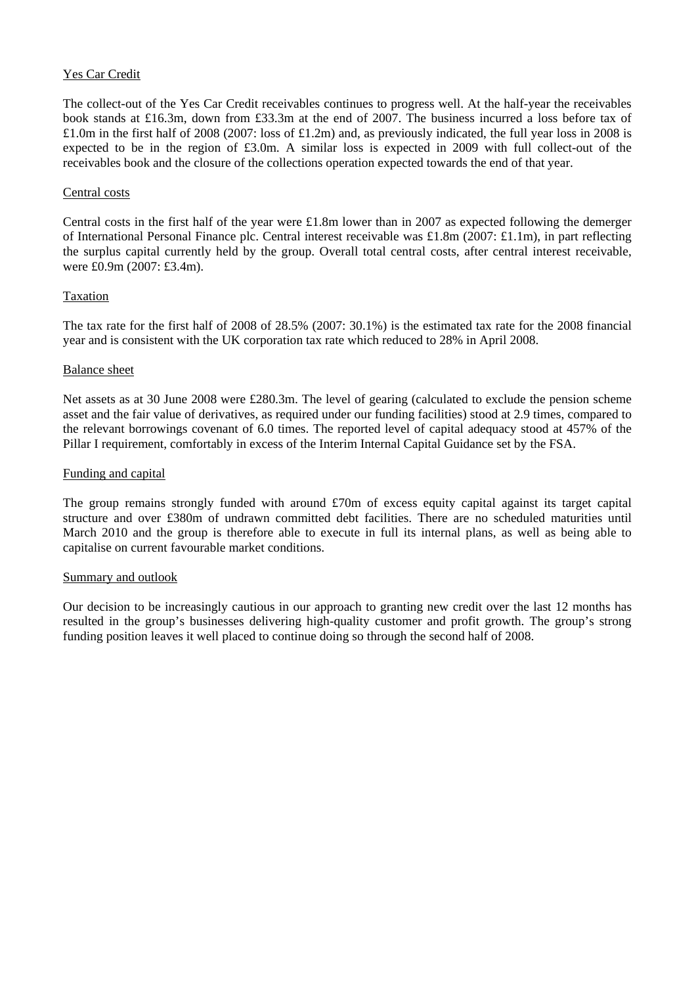## Yes Car Credit

The collect-out of the Yes Car Credit receivables continues to progress well. At the half-year the receivables book stands at £16.3m, down from £33.3m at the end of 2007. The business incurred a loss before tax of £1.0m in the first half of 2008 (2007: loss of £1.2m) and, as previously indicated, the full year loss in 2008 is expected to be in the region of £3.0m. A similar loss is expected in 2009 with full collect-out of the receivables book and the closure of the collections operation expected towards the end of that year.

### Central costs

Central costs in the first half of the year were £1.8m lower than in 2007 as expected following the demerger of International Personal Finance plc. Central interest receivable was £1.8m (2007: £1.1m), in part reflecting the surplus capital currently held by the group. Overall total central costs, after central interest receivable, were £0.9m (2007: £3.4m).

### **Taxation**

The tax rate for the first half of 2008 of 28.5% (2007: 30.1%) is the estimated tax rate for the 2008 financial year and is consistent with the UK corporation tax rate which reduced to 28% in April 2008.

#### Balance sheet

Net assets as at 30 June 2008 were £280.3m. The level of gearing (calculated to exclude the pension scheme asset and the fair value of derivatives, as required under our funding facilities) stood at 2.9 times, compared to the relevant borrowings covenant of 6.0 times. The reported level of capital adequacy stood at 457% of the Pillar I requirement, comfortably in excess of the Interim Internal Capital Guidance set by the FSA.

#### Funding and capital

The group remains strongly funded with around £70m of excess equity capital against its target capital structure and over £380m of undrawn committed debt facilities. There are no scheduled maturities until March 2010 and the group is therefore able to execute in full its internal plans, as well as being able to capitalise on current favourable market conditions.

### Summary and outlook

Our decision to be increasingly cautious in our approach to granting new credit over the last 12 months has resulted in the group's businesses delivering high-quality customer and profit growth. The group's strong funding position leaves it well placed to continue doing so through the second half of 2008.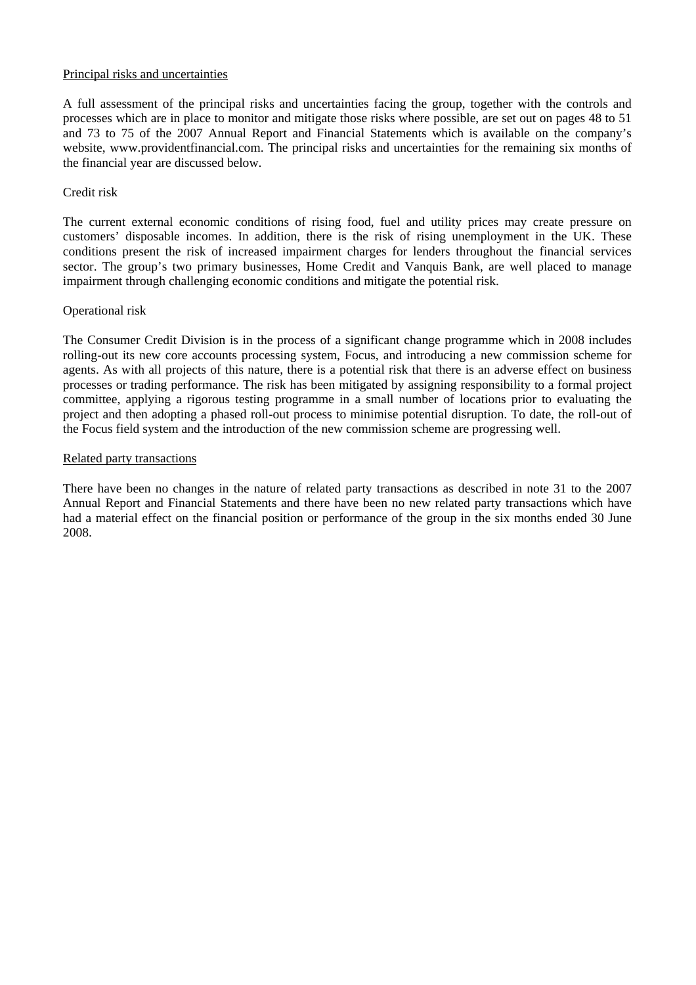#### Principal risks and uncertainties

A full assessment of the principal risks and uncertainties facing the group, together with the controls and processes which are in place to monitor and mitigate those risks where possible, are set out on pages 48 to 51 and 73 to 75 of the 2007 Annual Report and Financial Statements which is available on the company's website, www.providentfinancial.com. The principal risks and uncertainties for the remaining six months of the financial year are discussed below.

#### Credit risk

The current external economic conditions of rising food, fuel and utility prices may create pressure on customers' disposable incomes. In addition, there is the risk of rising unemployment in the UK. These conditions present the risk of increased impairment charges for lenders throughout the financial services sector. The group's two primary businesses, Home Credit and Vanquis Bank, are well placed to manage impairment through challenging economic conditions and mitigate the potential risk.

### Operational risk

The Consumer Credit Division is in the process of a significant change programme which in 2008 includes rolling-out its new core accounts processing system, Focus, and introducing a new commission scheme for agents. As with all projects of this nature, there is a potential risk that there is an adverse effect on business processes or trading performance. The risk has been mitigated by assigning responsibility to a formal project committee, applying a rigorous testing programme in a small number of locations prior to evaluating the project and then adopting a phased roll-out process to minimise potential disruption. To date, the roll-out of the Focus field system and the introduction of the new commission scheme are progressing well.

#### Related party transactions

There have been no changes in the nature of related party transactions as described in note 31 to the 2007 Annual Report and Financial Statements and there have been no new related party transactions which have had a material effect on the financial position or performance of the group in the six months ended 30 June 2008.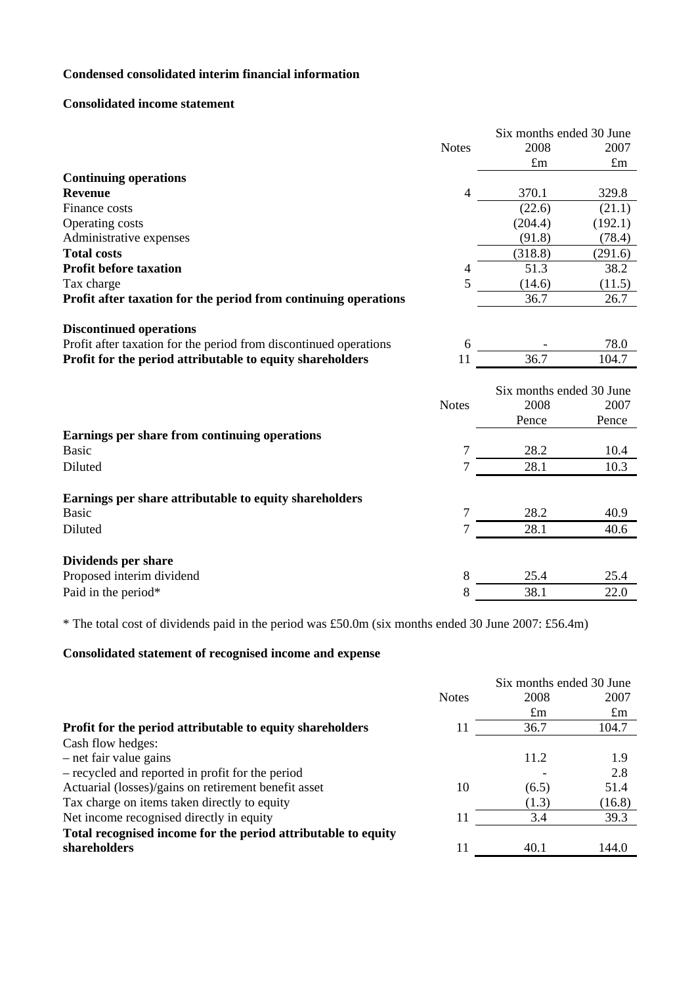# **Condensed consolidated interim financial information**

### **Consolidated income statement**

|                                                                   |                | Six months ended 30 June |             |  |
|-------------------------------------------------------------------|----------------|--------------------------|-------------|--|
|                                                                   | <b>Notes</b>   | 2008                     | 2007        |  |
|                                                                   |                | $\pounds$ m              | $\pounds$ m |  |
| <b>Continuing operations</b>                                      |                |                          |             |  |
| <b>Revenue</b>                                                    | 4              | 370.1                    | 329.8       |  |
| Finance costs                                                     |                | (22.6)                   | (21.1)      |  |
| Operating costs                                                   |                | (204.4)                  | (192.1)     |  |
| Administrative expenses                                           |                | (91.8)                   | (78.4)      |  |
| <b>Total costs</b>                                                |                | (318.8)                  | (291.6)     |  |
| <b>Profit before taxation</b>                                     | 4              | 51.3                     | 38.2        |  |
| Tax charge                                                        | 5              | (14.6)                   | (11.5)      |  |
| Profit after taxation for the period from continuing operations   |                | 36.7                     | 26.7        |  |
| <b>Discontinued operations</b>                                    |                |                          |             |  |
| Profit after taxation for the period from discontinued operations | 6              |                          | 78.0        |  |
| Profit for the period attributable to equity shareholders         | 11             | 36.7                     | 104.7       |  |
|                                                                   |                |                          |             |  |
|                                                                   |                | Six months ended 30 June |             |  |
|                                                                   | <b>Notes</b>   | 2008                     | 2007        |  |
|                                                                   |                | Pence                    | Pence       |  |
| Earnings per share from continuing operations                     |                |                          |             |  |
| <b>Basic</b>                                                      | $\overline{7}$ | 28.2                     | 10.4        |  |
| Diluted                                                           | 7              | 28.1                     | 10.3        |  |
| Earnings per share attributable to equity shareholders            |                |                          |             |  |
| <b>Basic</b>                                                      | 7              | 28.2                     | 40.9        |  |
| Diluted                                                           | 7              | 28.1                     | 40.6        |  |
|                                                                   |                |                          |             |  |
| Dividends per share                                               |                |                          |             |  |
|                                                                   |                |                          |             |  |
| Proposed interim dividend                                         | 8              | 25.4                     | 25.4        |  |

\* The total cost of dividends paid in the period was £50.0m (six months ended 30 June 2007: £56.4m)

# **Consolidated statement of recognised income and expense**

|                                                               |              |             | Six months ended 30 June |  |
|---------------------------------------------------------------|--------------|-------------|--------------------------|--|
|                                                               | <b>Notes</b> | 2008        | 2007                     |  |
|                                                               |              | $\pounds$ m | $\pounds$ m              |  |
| Profit for the period attributable to equity shareholders     | 11           | 36.7        | 104.7                    |  |
| Cash flow hedges:                                             |              |             |                          |  |
| $-$ net fair value gains                                      |              | 11.2        | 1.9                      |  |
| - recycled and reported in profit for the period              |              |             | 2.8                      |  |
| Actuarial (losses)/gains on retirement benefit asset          | 10           | (6.5)       | 51.4                     |  |
| Tax charge on items taken directly to equity                  |              | (1.3)       | (16.8)                   |  |
| Net income recognised directly in equity                      | 11           | 3.4         | 39.3                     |  |
| Total recognised income for the period attributable to equity |              |             |                          |  |
| shareholders                                                  | 11           | 40.1        | 144.0                    |  |
|                                                               |              |             |                          |  |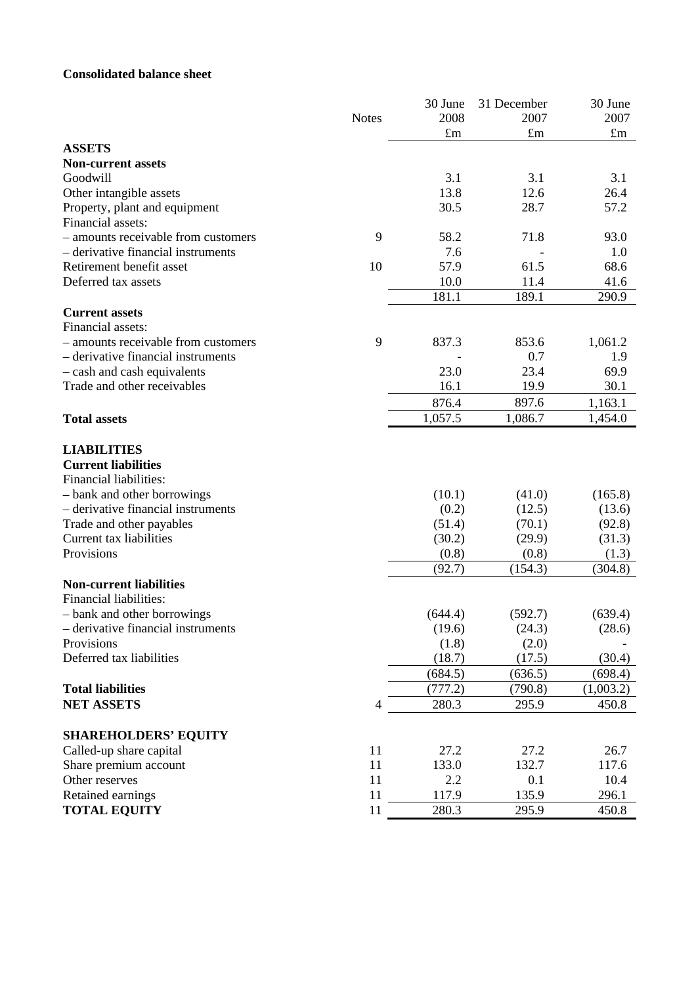# **Consolidated balance sheet**

|                                     |              | 30 June | 31 December | 30 June     |
|-------------------------------------|--------------|---------|-------------|-------------|
|                                     | <b>Notes</b> | 2008    | 2007        | 2007        |
|                                     |              | £m      | $\pounds$ m | $\pounds$ m |
| <b>ASSETS</b>                       |              |         |             |             |
| <b>Non-current assets</b>           |              |         |             |             |
| Goodwill                            |              | 3.1     | 3.1         | 3.1         |
| Other intangible assets             |              | 13.8    | 12.6        | 26.4        |
| Property, plant and equipment       |              | 30.5    | 28.7        | 57.2        |
| Financial assets:                   |              |         |             |             |
| - amounts receivable from customers | 9            | 58.2    | 71.8        | 93.0        |
| - derivative financial instruments  |              | 7.6     |             | 1.0         |
| Retirement benefit asset            | 10           | 57.9    | 61.5        | 68.6        |
| Deferred tax assets                 |              | 10.0    | 11.4        | 41.6        |
|                                     |              | 181.1   | 189.1       | 290.9       |
| <b>Current assets</b>               |              |         |             |             |
| Financial assets:                   |              |         |             |             |
| - amounts receivable from customers | 9            | 837.3   | 853.6       | 1,061.2     |
| - derivative financial instruments  |              |         | 0.7         | 1.9         |
| - cash and cash equivalents         |              | 23.0    | 23.4        | 69.9        |
| Trade and other receivables         |              | 16.1    | 19.9        | 30.1        |
|                                     |              | 876.4   | 897.6       | 1,163.1     |
| <b>Total assets</b>                 |              | 1,057.5 | 1,086.7     | 1,454.0     |
|                                     |              |         |             |             |
| <b>LIABILITIES</b>                  |              |         |             |             |
| <b>Current liabilities</b>          |              |         |             |             |
| Financial liabilities:              |              |         |             |             |
| - bank and other borrowings         |              | (10.1)  | (41.0)      | (165.8)     |
| - derivative financial instruments  |              | (0.2)   | (12.5)      | (13.6)      |
| Trade and other payables            |              | (51.4)  | (70.1)      | (92.8)      |
| Current tax liabilities             |              | (30.2)  | (29.9)      | (31.3)      |
| Provisions                          |              | (0.8)   | (0.8)       | (1.3)       |
|                                     |              | (92.7)  | (154.3)     | (304.8)     |
| <b>Non-current liabilities</b>      |              |         |             |             |
| Financial liabilities:              |              |         |             |             |
| - bank and other borrowings         |              | (644.4) | (592.7)     | (639.4)     |
| - derivative financial instruments  |              | (19.6)  | (24.3)      | (28.6)      |
| Provisions                          |              | (1.8)   | (2.0)       |             |
| Deferred tax liabilities            |              | (18.7)  | (17.5)      | (30.4)      |
|                                     |              | (684.5) | (636.5)     | (698.4)     |
| <b>Total liabilities</b>            |              | (777.2) | (790.8)     | (1,003.2)   |
| <b>NET ASSETS</b>                   | 4            | 280.3   | 295.9       | 450.8       |
|                                     |              |         |             |             |
| <b>SHAREHOLDERS' EQUITY</b>         |              |         |             |             |
| Called-up share capital             | 11           | 27.2    | 27.2        | 26.7        |
| Share premium account               | 11           | 133.0   | 132.7       | 117.6       |
| Other reserves                      | 11           | 2.2     | 0.1         | 10.4        |
| Retained earnings                   | 11           | 117.9   | 135.9       | 296.1       |
| <b>TOTAL EQUITY</b>                 | 11           | 280.3   | 295.9       | 450.8       |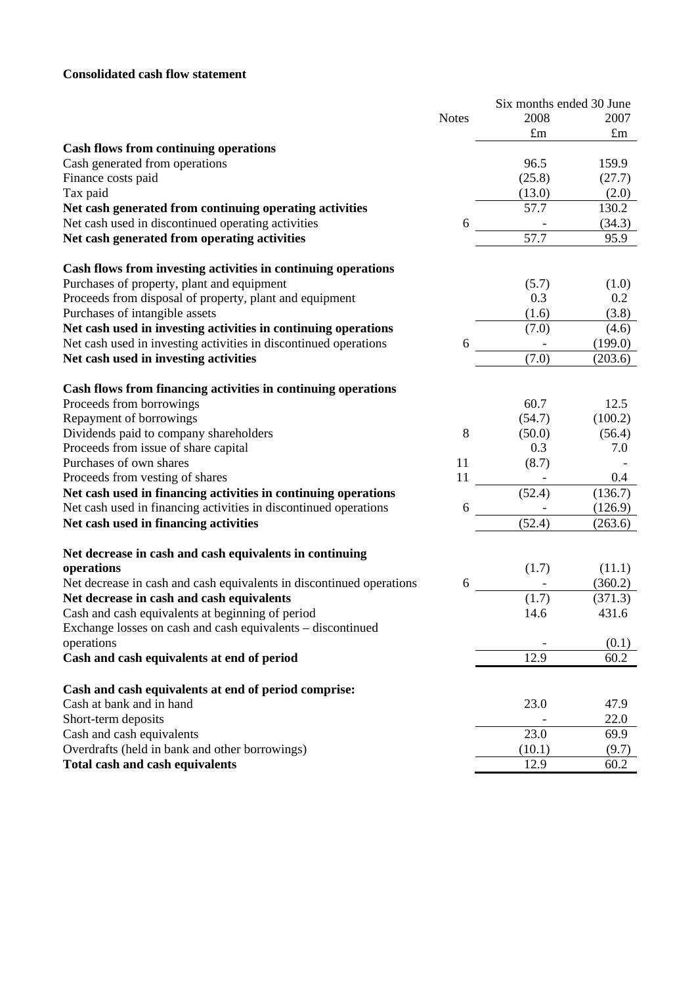# **Consolidated cash flow statement**

|                                                                      |              |             | Six months ended 30 June |
|----------------------------------------------------------------------|--------------|-------------|--------------------------|
|                                                                      | <b>Notes</b> | 2008        | 2007                     |
|                                                                      |              | $\pounds$ m | $\pounds$ m              |
| <b>Cash flows from continuing operations</b>                         |              |             |                          |
| Cash generated from operations                                       |              | 96.5        | 159.9                    |
| Finance costs paid                                                   |              | (25.8)      | (27.7)                   |
| Tax paid                                                             |              | (13.0)      | (2.0)                    |
| Net cash generated from continuing operating activities              |              | 57.7        | 130.2                    |
| Net cash used in discontinued operating activities                   | 6            |             | (34.3)                   |
| Net cash generated from operating activities                         |              | 57.7        | 95.9                     |
| Cash flows from investing activities in continuing operations        |              |             |                          |
| Purchases of property, plant and equipment                           |              | (5.7)       | (1.0)                    |
| Proceeds from disposal of property, plant and equipment              |              | 0.3         | 0.2                      |
| Purchases of intangible assets                                       |              | (1.6)       | (3.8)                    |
| Net cash used in investing activities in continuing operations       |              | (7.0)       | (4.6)                    |
| Net cash used in investing activities in discontinued operations     | 6            |             | (199.0)                  |
| Net cash used in investing activities                                |              | (7.0)       | (203.6)                  |
| Cash flows from financing activities in continuing operations        |              |             |                          |
| Proceeds from borrowings                                             |              | 60.7        | 12.5                     |
| Repayment of borrowings                                              |              | (54.7)      | (100.2)                  |
| Dividends paid to company shareholders                               | 8            | (50.0)      | (56.4)                   |
| Proceeds from issue of share capital                                 |              | 0.3         | 7.0                      |
| Purchases of own shares                                              | 11           | (8.7)       |                          |
| Proceeds from vesting of shares                                      | 11           |             | 0.4                      |
| Net cash used in financing activities in continuing operations       |              | (52.4)      | (136.7)                  |
| Net cash used in financing activities in discontinued operations     | 6            |             | (126.9)                  |
| Net cash used in financing activities                                |              | (52.4)      | (263.6)                  |
|                                                                      |              |             |                          |
| Net decrease in cash and cash equivalents in continuing              |              |             |                          |
| operations                                                           |              | (1.7)       | (11.1)                   |
| Net decrease in cash and cash equivalents in discontinued operations | 6            |             | (360.2)                  |
| Net decrease in cash and cash equivalents                            |              | (1.7)       | (371.3)                  |
| Cash and cash equivalents at beginning of period                     |              | 14.6        | 431.6                    |
| Exchange losses on cash and cash equivalents – discontinued          |              |             |                          |
| operations                                                           |              |             | (0.1)                    |
| Cash and cash equivalents at end of period                           |              | 12.9        | 60.2                     |
| Cash and cash equivalents at end of period comprise:                 |              |             |                          |
| Cash at bank and in hand                                             |              | 23.0        | 47.9                     |
| Short-term deposits                                                  |              |             | 22.0                     |
| Cash and cash equivalents                                            |              | 23.0        | 69.9                     |
| Overdrafts (held in bank and other borrowings)                       |              | (10.1)      | (9.7)                    |
| <b>Total cash and cash equivalents</b>                               |              | 12.9        | 60.2                     |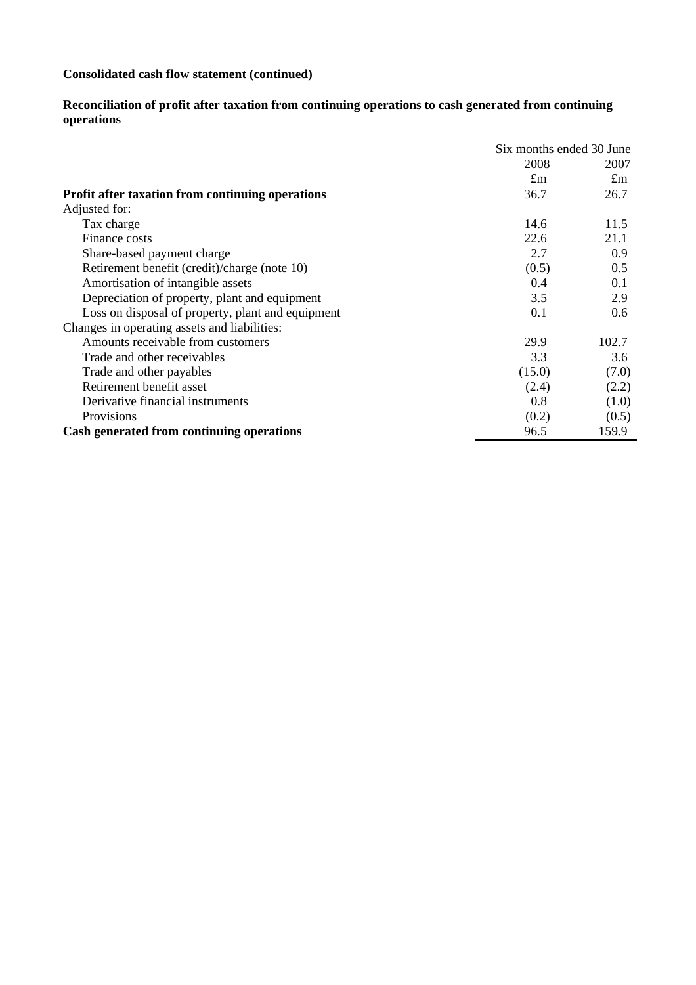# **Consolidated cash flow statement (continued)**

#### **Reconciliation of profit after taxation from continuing operations to cash generated from continuing operations**

|                                                         | Six months ended 30 June |             |
|---------------------------------------------------------|--------------------------|-------------|
|                                                         | 2008                     | 2007        |
|                                                         | $\pounds$ m              | $\pounds$ m |
| <b>Profit after taxation from continuing operations</b> | 36.7                     | 26.7        |
| Adjusted for:                                           |                          |             |
| Tax charge                                              | 14.6                     | 11.5        |
| Finance costs                                           | 22.6                     | 21.1        |
| Share-based payment charge                              | 2.7                      | 0.9         |
| Retirement benefit (credit)/charge (note 10)            | (0.5)                    | 0.5         |
| Amortisation of intangible assets                       | 0.4                      | 0.1         |
| Depreciation of property, plant and equipment           | 3.5                      | 2.9         |
| Loss on disposal of property, plant and equipment       | 0.1                      | 0.6         |
| Changes in operating assets and liabilities:            |                          |             |
| Amounts receivable from customers                       | 29.9                     | 102.7       |
| Trade and other receivables                             | 3.3                      | 3.6         |
| Trade and other payables                                | (15.0)                   | (7.0)       |
| Retirement benefit asset                                | (2.4)                    | (2.2)       |
| Derivative financial instruments                        | 0.8                      | (1.0)       |
| Provisions                                              | (0.2)                    | (0.5)       |
| Cash generated from continuing operations               | 96.5                     | 159.9       |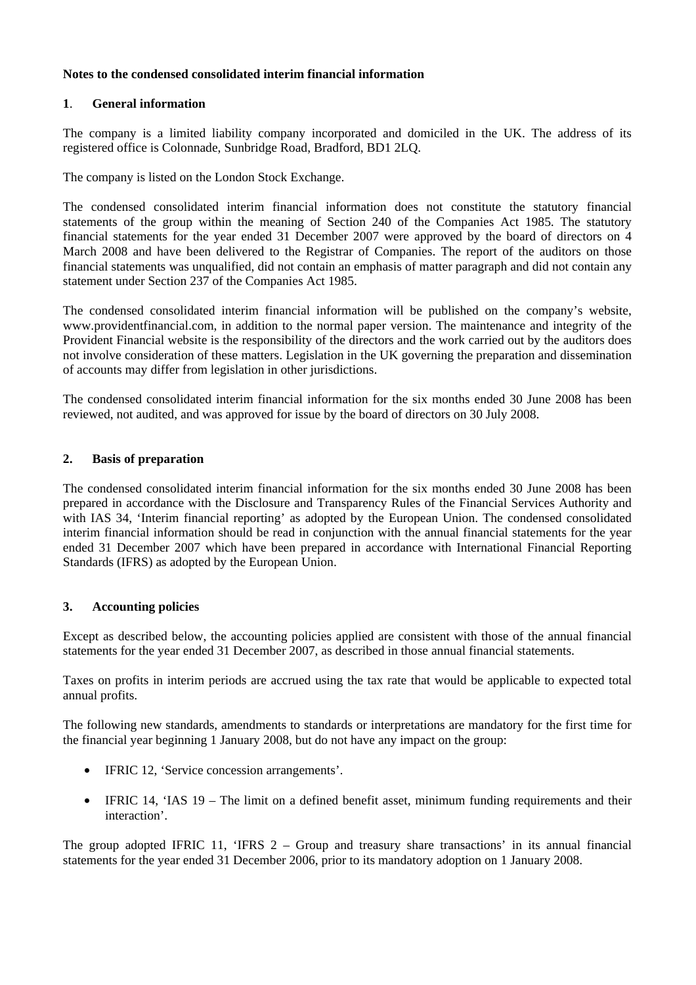## **Notes to the condensed consolidated interim financial information**

## **1**. **General information**

The company is a limited liability company incorporated and domiciled in the UK. The address of its registered office is Colonnade, Sunbridge Road, Bradford, BD1 2LQ.

The company is listed on the London Stock Exchange.

The condensed consolidated interim financial information does not constitute the statutory financial statements of the group within the meaning of Section 240 of the Companies Act 1985. The statutory financial statements for the year ended 31 December 2007 were approved by the board of directors on 4 March 2008 and have been delivered to the Registrar of Companies. The report of the auditors on those financial statements was unqualified, did not contain an emphasis of matter paragraph and did not contain any statement under Section 237 of the Companies Act 1985.

The condensed consolidated interim financial information will be published on the company's website, www.providentfinancial.com, in addition to the normal paper version. The maintenance and integrity of the Provident Financial website is the responsibility of the directors and the work carried out by the auditors does not involve consideration of these matters. Legislation in the UK governing the preparation and dissemination of accounts may differ from legislation in other jurisdictions.

The condensed consolidated interim financial information for the six months ended 30 June 2008 has been reviewed, not audited, and was approved for issue by the board of directors on 30 July 2008.

## **2. Basis of preparation**

The condensed consolidated interim financial information for the six months ended 30 June 2008 has been prepared in accordance with the Disclosure and Transparency Rules of the Financial Services Authority and with IAS 34, 'Interim financial reporting' as adopted by the European Union. The condensed consolidated interim financial information should be read in conjunction with the annual financial statements for the year ended 31 December 2007 which have been prepared in accordance with International Financial Reporting Standards (IFRS) as adopted by the European Union.

### **3. Accounting policies**

Except as described below, the accounting policies applied are consistent with those of the annual financial statements for the year ended 31 December 2007, as described in those annual financial statements.

Taxes on profits in interim periods are accrued using the tax rate that would be applicable to expected total annual profits.

The following new standards, amendments to standards or interpretations are mandatory for the first time for the financial year beginning 1 January 2008, but do not have any impact on the group:

- IFRIC 12, 'Service concession arrangements'.
- IFRIC 14, 'IAS 19 The limit on a defined benefit asset, minimum funding requirements and their interaction'.

The group adopted IFRIC 11, 'IFRS 2 – Group and treasury share transactions' in its annual financial statements for the year ended 31 December 2006, prior to its mandatory adoption on 1 January 2008.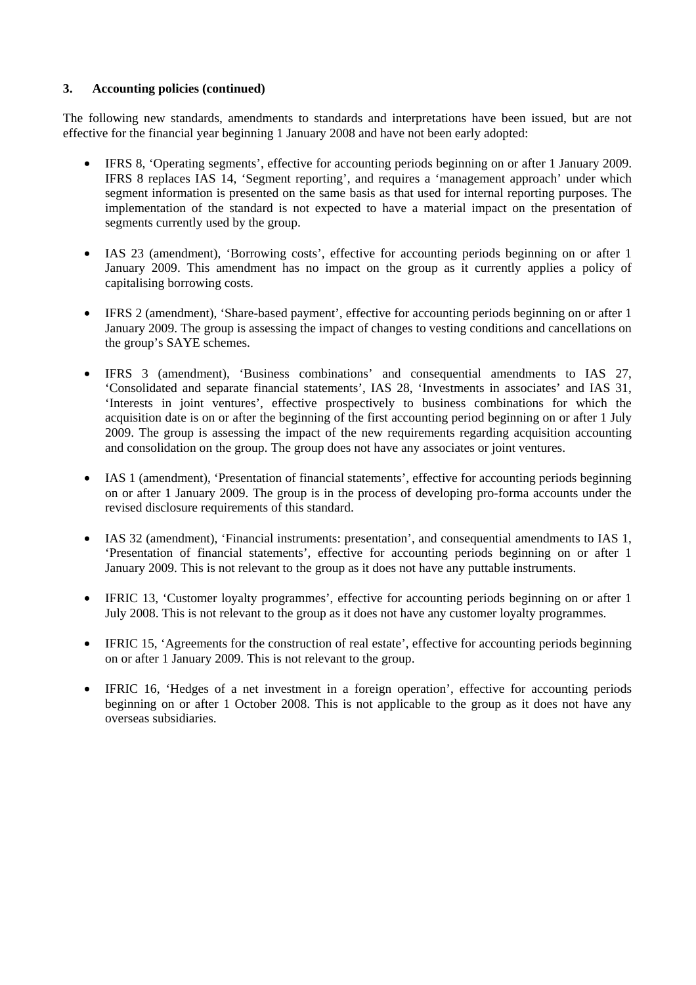## **3. Accounting policies (continued)**

The following new standards, amendments to standards and interpretations have been issued, but are not effective for the financial year beginning 1 January 2008 and have not been early adopted:

- IFRS 8, 'Operating segments', effective for accounting periods beginning on or after 1 January 2009. IFRS 8 replaces IAS 14, 'Segment reporting', and requires a 'management approach' under which segment information is presented on the same basis as that used for internal reporting purposes. The implementation of the standard is not expected to have a material impact on the presentation of segments currently used by the group.
- IAS 23 (amendment), 'Borrowing costs', effective for accounting periods beginning on or after 1 January 2009. This amendment has no impact on the group as it currently applies a policy of capitalising borrowing costs.
- IFRS 2 (amendment), 'Share-based payment', effective for accounting periods beginning on or after 1 January 2009. The group is assessing the impact of changes to vesting conditions and cancellations on the group's SAYE schemes.
- IFRS 3 (amendment), 'Business combinations' and consequential amendments to IAS 27, 'Consolidated and separate financial statements', IAS 28, 'Investments in associates' and IAS 31, 'Interests in joint ventures', effective prospectively to business combinations for which the acquisition date is on or after the beginning of the first accounting period beginning on or after 1 July 2009. The group is assessing the impact of the new requirements regarding acquisition accounting and consolidation on the group. The group does not have any associates or joint ventures.
- IAS 1 (amendment), 'Presentation of financial statements', effective for accounting periods beginning on or after 1 January 2009. The group is in the process of developing pro-forma accounts under the revised disclosure requirements of this standard.
- IAS 32 (amendment), 'Financial instruments: presentation', and consequential amendments to IAS 1, 'Presentation of financial statements', effective for accounting periods beginning on or after 1 January 2009. This is not relevant to the group as it does not have any puttable instruments.
- IFRIC 13, 'Customer loyalty programmes', effective for accounting periods beginning on or after 1 July 2008. This is not relevant to the group as it does not have any customer loyalty programmes.
- IFRIC 15, 'Agreements for the construction of real estate', effective for accounting periods beginning on or after 1 January 2009. This is not relevant to the group.
- IFRIC 16, 'Hedges of a net investment in a foreign operation', effective for accounting periods beginning on or after 1 October 2008. This is not applicable to the group as it does not have any overseas subsidiaries.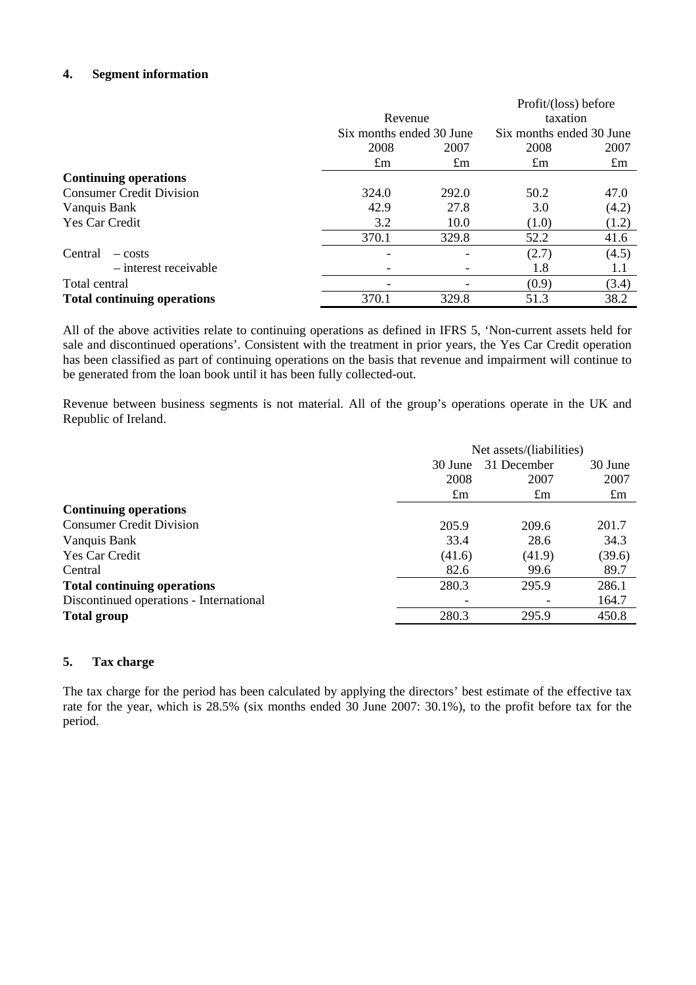## **4. Segment information**

|                                    |                          |             | Profit/(loss) before     |             |
|------------------------------------|--------------------------|-------------|--------------------------|-------------|
|                                    | Revenue                  |             | taxation                 |             |
|                                    | Six months ended 30 June |             | Six months ended 30 June |             |
|                                    | 2008                     | 2007        | 2008                     | 2007        |
|                                    | $\pounds$ m              | $\pounds$ m | $\pounds$ m              | $\pounds$ m |
| <b>Continuing operations</b>       |                          |             |                          |             |
| <b>Consumer Credit Division</b>    | 324.0                    | 292.0       | 50.2                     | 47.0        |
| Vanquis Bank                       | 42.9                     | 27.8        | 3.0                      | (4.2)       |
| Yes Car Credit                     | 3.2                      | 10.0        | (1.0)                    | (1.2)       |
|                                    | 370.1                    | 329.8       | 52.2                     | 41.6        |
| Central<br>$-costs$                |                          |             | (2.7)                    | (4.5)       |
| $-$ interest receivable            |                          |             | 1.8                      | 1.1         |
| Total central                      |                          |             | (0.9)                    | (3.4)       |
| <b>Total continuing operations</b> | 370.1                    | 329.8       | 51.3                     | 38.2        |

All of the above activities relate to continuing operations as defined in IFRS 5, 'Non-current assets held for sale and discontinued operations'. Consistent with the treatment in prior years, the Yes Car Credit operation has been classified as part of continuing operations on the basis that revenue and impairment will continue to be generated from the loan book until it has been fully collected-out.

Revenue between business segments is not material. All of the group's operations operate in the UK and Republic of Ireland.

|                                         | Net assets/(liabilities) |             |             |
|-----------------------------------------|--------------------------|-------------|-------------|
|                                         | 30 June                  | 31 December | 30 June     |
|                                         | 2008                     | 2007        | 2007        |
|                                         | $\pounds$ m              | $\pounds$ m | $\pounds$ m |
| <b>Continuing operations</b>            |                          |             |             |
| <b>Consumer Credit Division</b>         | 205.9                    | 209.6       | 201.7       |
| Vanquis Bank                            | 33.4                     | 28.6        | 34.3        |
| Yes Car Credit                          | (41.6)                   | (41.9)      | (39.6)      |
| Central                                 | 82.6                     | 99.6        | 89.7        |
| <b>Total continuing operations</b>      | 280.3                    | 295.9       | 286.1       |
| Discontinued operations - International |                          |             | 164.7       |
| <b>Total group</b>                      | 280.3                    | 295.9       | 450.8       |
|                                         |                          |             |             |

## **5. Tax charge**

The tax charge for the period has been calculated by applying the directors' best estimate of the effective tax rate for the year, which is 28.5% (six months ended 30 June 2007: 30.1%), to the profit before tax for the period.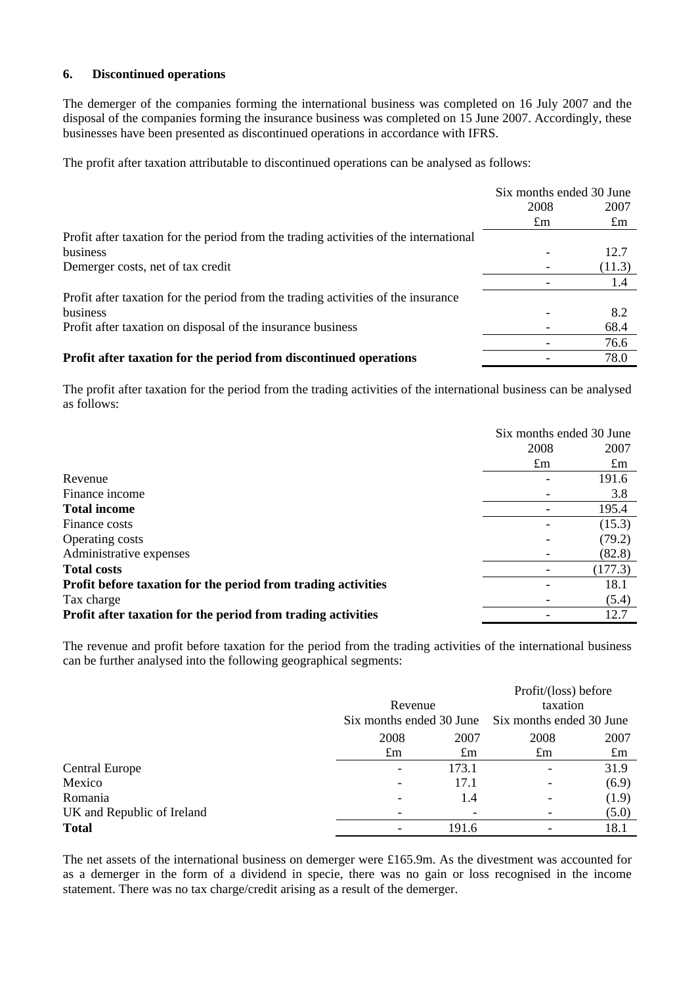## **6. Discontinued operations**

The demerger of the companies forming the international business was completed on 16 July 2007 and the disposal of the companies forming the insurance business was completed on 15 June 2007. Accordingly, these businesses have been presented as discontinued operations in accordance with IFRS.

The profit after taxation attributable to discontinued operations can be analysed as follows:

|                                                                                       | Six months ended 30 June |         |
|---------------------------------------------------------------------------------------|--------------------------|---------|
|                                                                                       | 2008                     | 2007    |
|                                                                                       | $\pounds$ m              | $\pm$ m |
| Profit after taxation for the period from the trading activities of the international |                          |         |
| business                                                                              |                          | 12.7    |
| Demerger costs, net of tax credit                                                     |                          | (11.3)  |
|                                                                                       |                          | 1.4     |
| Profit after taxation for the period from the trading activities of the insurance     |                          |         |
| business                                                                              |                          | 8.2     |
| Profit after taxation on disposal of the insurance business                           |                          | 68.4    |
|                                                                                       |                          | 76.6    |
| Profit after taxation for the period from discontinued operations                     |                          | 78.0    |

The profit after taxation for the period from the trading activities of the international business can be analysed as follows:

|                                                               | Six months ended 30 June |                |
|---------------------------------------------------------------|--------------------------|----------------|
|                                                               | 2008                     | 2007           |
|                                                               | $\pounds$ m              | $\mathfrak{m}$ |
| Revenue                                                       |                          | 191.6          |
| Finance income                                                |                          | 3.8            |
| <b>Total income</b>                                           |                          | 195.4          |
| Finance costs                                                 |                          | (15.3)         |
| Operating costs                                               |                          | (79.2)         |
| Administrative expenses                                       |                          | (82.8)         |
| <b>Total costs</b>                                            |                          | (177.3)        |
| Profit before taxation for the period from trading activities |                          | 18.1           |
| Tax charge                                                    |                          | (5.4)          |
| Profit after taxation for the period from trading activities  |                          | 12.7           |

The revenue and profit before taxation for the period from the trading activities of the international business can be further analysed into the following geographical segments:

|                            |             |                          |             | Profit/(loss) before     |
|----------------------------|-------------|--------------------------|-------------|--------------------------|
|                            |             | Revenue                  |             | taxation                 |
|                            |             | Six months ended 30 June |             | Six months ended 30 June |
|                            | 2008        | 2007                     | 2008        | 2007                     |
|                            | $\pounds$ m | $\pounds$ m              | $\pounds$ m | $\pounds$ m              |
| <b>Central Europe</b>      |             | 173.1                    |             | 31.9                     |
| Mexico                     |             | 17.1                     |             | (6.9)                    |
| Romania                    |             | 1.4                      |             | (1.9)                    |
| UK and Republic of Ireland |             |                          |             | (5.0)                    |
| <b>Total</b>               |             | 191.6                    |             | 18.1                     |

The net assets of the international business on demerger were £165.9m. As the divestment was accounted for as a demerger in the form of a dividend in specie, there was no gain or loss recognised in the income statement. There was no tax charge/credit arising as a result of the demerger.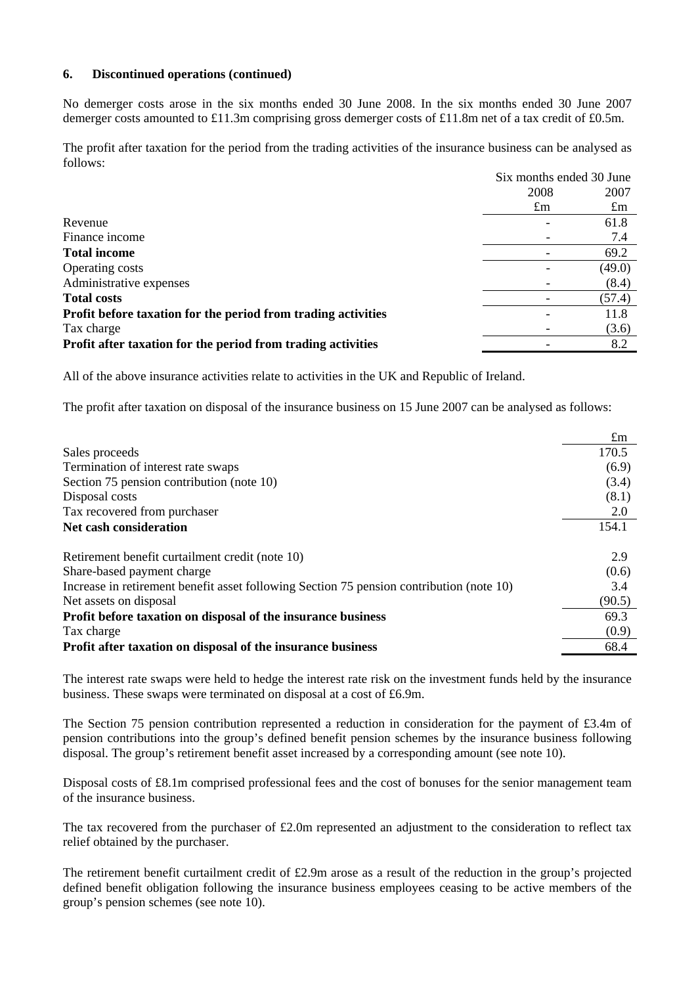### **6. Discontinued operations (continued)**

No demerger costs arose in the six months ended 30 June 2008. In the six months ended 30 June 2007 demerger costs amounted to £11.3m comprising gross demerger costs of £11.8m net of a tax credit of £0.5m.

The profit after taxation for the period from the trading activities of the insurance business can be analysed as follows:

|                                                               | Six months ended 30 June |             |
|---------------------------------------------------------------|--------------------------|-------------|
|                                                               | 2008                     | 2007        |
|                                                               | $\pounds$ m              | $\pounds$ m |
| Revenue                                                       |                          | 61.8        |
| Finance income                                                |                          | 7.4         |
| <b>Total income</b>                                           |                          | 69.2        |
| Operating costs                                               |                          | (49.0)      |
| Administrative expenses                                       |                          | (8.4)       |
| <b>Total costs</b>                                            |                          | (57.4)      |
| Profit before taxation for the period from trading activities |                          | 11.8        |
| Tax charge                                                    |                          | (3.6)       |
| Profit after taxation for the period from trading activities  |                          | 8.2         |

All of the above insurance activities relate to activities in the UK and Republic of Ireland.

The profit after taxation on disposal of the insurance business on 15 June 2007 can be analysed as follows:

|                                                                                          | $\pounds$ m |
|------------------------------------------------------------------------------------------|-------------|
| Sales proceeds                                                                           | 170.5       |
| Termination of interest rate swaps                                                       | (6.9)       |
| Section 75 pension contribution (note 10)                                                | (3.4)       |
| Disposal costs                                                                           | (8.1)       |
| Tax recovered from purchaser                                                             | 2.0         |
| Net cash consideration                                                                   | 154.1       |
| Retirement benefit curtailment credit (note 10)                                          | 2.9         |
| Share-based payment charge                                                               | (0.6)       |
| Increase in retirement benefit asset following Section 75 pension contribution (note 10) | 3.4         |
| Net assets on disposal                                                                   | (90.5)      |
| Profit before taxation on disposal of the insurance business                             | 69.3        |
| Tax charge                                                                               | (0.9)       |
| Profit after taxation on disposal of the insurance business                              | 68.4        |

The interest rate swaps were held to hedge the interest rate risk on the investment funds held by the insurance business. These swaps were terminated on disposal at a cost of £6.9m.

The Section 75 pension contribution represented a reduction in consideration for the payment of £3.4m of pension contributions into the group's defined benefit pension schemes by the insurance business following disposal. The group's retirement benefit asset increased by a corresponding amount (see note 10).

Disposal costs of £8.1m comprised professional fees and the cost of bonuses for the senior management team of the insurance business.

The tax recovered from the purchaser of £2.0m represented an adjustment to the consideration to reflect tax relief obtained by the purchaser.

The retirement benefit curtailment credit of  $£2.9m$  arose as a result of the reduction in the group's projected defined benefit obligation following the insurance business employees ceasing to be active members of the group's pension schemes (see note 10).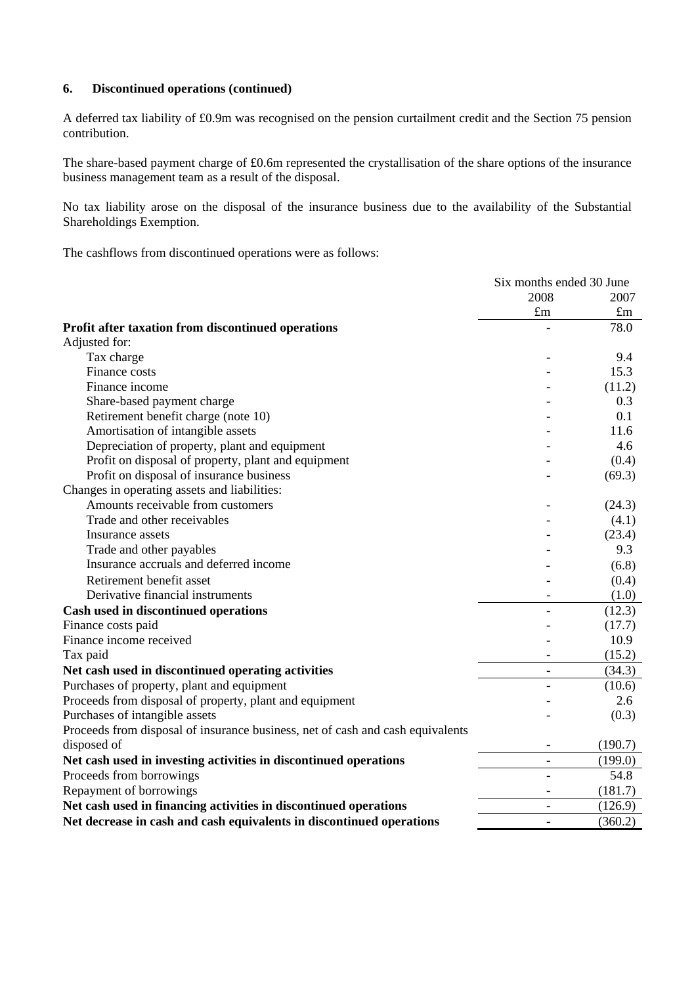#### **6. Discontinued operations (continued)**

A deferred tax liability of £0.9m was recognised on the pension curtailment credit and the Section 75 pension contribution.

The share-based payment charge of £0.6m represented the crystallisation of the share options of the insurance business management team as a result of the disposal.

No tax liability arose on the disposal of the insurance business due to the availability of the Substantial Shareholdings Exemption.

The cashflows from discontinued operations were as follows:

|                                                                                | Six months ended 30 June |             |
|--------------------------------------------------------------------------------|--------------------------|-------------|
|                                                                                | 2008                     | 2007        |
|                                                                                | $\pounds$ m              | $\pounds$ m |
| Profit after taxation from discontinued operations                             |                          | 78.0        |
| Adjusted for:                                                                  |                          |             |
| Tax charge                                                                     |                          | 9.4         |
| Finance costs                                                                  |                          | 15.3        |
| Finance income                                                                 |                          | (11.2)      |
| Share-based payment charge                                                     |                          | 0.3         |
| Retirement benefit charge (note 10)                                            |                          | 0.1         |
| Amortisation of intangible assets                                              |                          | 11.6        |
| Depreciation of property, plant and equipment                                  |                          | 4.6         |
| Profit on disposal of property, plant and equipment                            |                          | (0.4)       |
| Profit on disposal of insurance business                                       |                          | (69.3)      |
| Changes in operating assets and liabilities:                                   |                          |             |
| Amounts receivable from customers                                              |                          | (24.3)      |
| Trade and other receivables                                                    |                          | (4.1)       |
| Insurance assets                                                               |                          | (23.4)      |
| Trade and other payables                                                       |                          | 9.3         |
| Insurance accruals and deferred income                                         |                          | (6.8)       |
| Retirement benefit asset                                                       |                          | (0.4)       |
| Derivative financial instruments                                               |                          | (1.0)       |
| Cash used in discontinued operations                                           |                          | (12.3)      |
| Finance costs paid                                                             |                          | (17.7)      |
| Finance income received                                                        |                          | 10.9        |
| Tax paid                                                                       |                          | (15.2)      |
| Net cash used in discontinued operating activities                             | $\overline{\phantom{a}}$ | (34.3)      |
| Purchases of property, plant and equipment                                     |                          | (10.6)      |
| Proceeds from disposal of property, plant and equipment                        |                          | 2.6         |
| Purchases of intangible assets                                                 |                          | (0.3)       |
| Proceeds from disposal of insurance business, net of cash and cash equivalents |                          |             |
| disposed of                                                                    |                          | (190.7)     |
| Net cash used in investing activities in discontinued operations               | $\overline{\phantom{0}}$ | (199.0)     |
| Proceeds from borrowings                                                       |                          | 54.8        |
| Repayment of borrowings                                                        |                          | (181.7)     |
| Net cash used in financing activities in discontinued operations               | $\overline{\phantom{a}}$ | (126.9)     |
| Net decrease in cash and cash equivalents in discontinued operations           | $\overline{\phantom{a}}$ | (360.2)     |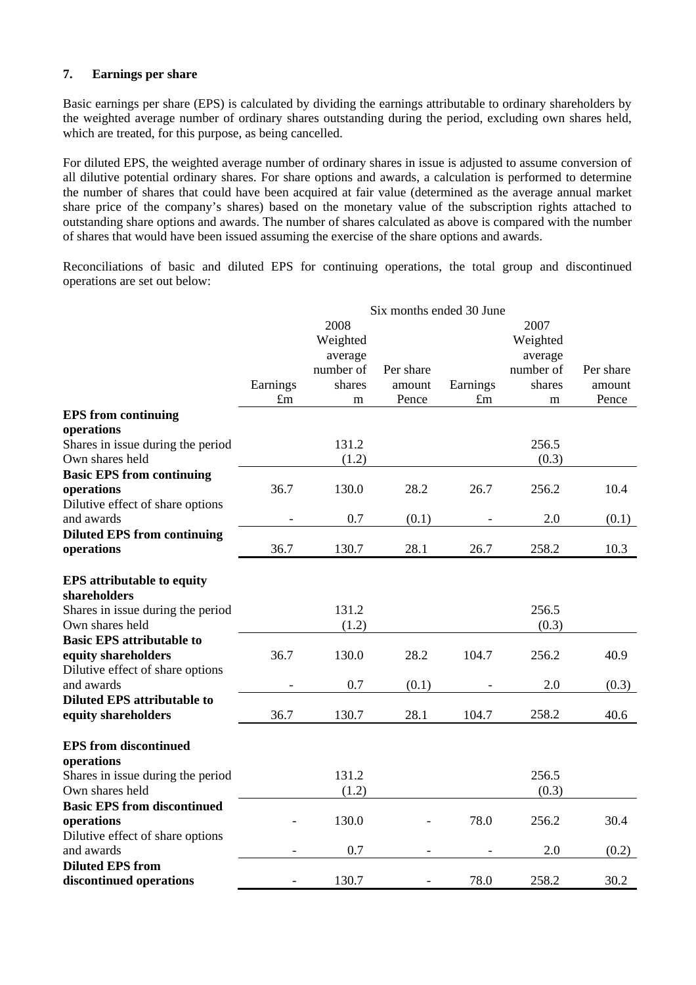## **7. Earnings per share**

Basic earnings per share (EPS) is calculated by dividing the earnings attributable to ordinary shareholders by the weighted average number of ordinary shares outstanding during the period, excluding own shares held, which are treated, for this purpose, as being cancelled.

For diluted EPS, the weighted average number of ordinary shares in issue is adjusted to assume conversion of all dilutive potential ordinary shares. For share options and awards, a calculation is performed to determine the number of shares that could have been acquired at fair value (determined as the average annual market share price of the company's shares) based on the monetary value of the subscription rights attached to outstanding share options and awards. The number of shares calculated as above is compared with the number of shares that would have been issued assuming the exercise of the share options and awards.

Reconciliations of basic and diluted EPS for continuing operations, the total group and discontinued operations are set out below:

|                                    | Six months ended 30 June |           |           |             |           |           |
|------------------------------------|--------------------------|-----------|-----------|-------------|-----------|-----------|
|                                    |                          | 2008      |           |             | 2007      |           |
|                                    |                          | Weighted  |           |             | Weighted  |           |
|                                    |                          | average   |           |             | average   |           |
|                                    |                          | number of | Per share |             | number of | Per share |
|                                    | Earnings                 | shares    | amount    | Earnings    | shares    | amount    |
|                                    | $\pounds$ m              | m         | Pence     | $\pounds$ m | m         | Pence     |
| <b>EPS</b> from continuing         |                          |           |           |             |           |           |
| operations                         |                          |           |           |             |           |           |
| Shares in issue during the period  |                          | 131.2     |           |             | 256.5     |           |
| Own shares held                    |                          | (1.2)     |           |             | (0.3)     |           |
| <b>Basic EPS from continuing</b>   |                          |           |           |             |           |           |
| operations                         | 36.7                     | 130.0     | 28.2      | 26.7        | 256.2     | 10.4      |
| Dilutive effect of share options   |                          |           |           |             |           |           |
| and awards                         |                          | 0.7       | (0.1)     |             | 2.0       | (0.1)     |
| <b>Diluted EPS from continuing</b> |                          |           |           |             |           |           |
| operations                         | 36.7                     | 130.7     | 28.1      | 26.7        | 258.2     | 10.3      |
|                                    |                          |           |           |             |           |           |
| <b>EPS</b> attributable to equity  |                          |           |           |             |           |           |
| shareholders                       |                          |           |           |             |           |           |
| Shares in issue during the period  |                          | 131.2     |           |             | 256.5     |           |
| Own shares held                    |                          | (1.2)     |           |             | (0.3)     |           |
| <b>Basic EPS attributable to</b>   |                          |           |           |             |           |           |
| equity shareholders                | 36.7                     | 130.0     | 28.2      | 104.7       | 256.2     | 40.9      |
| Dilutive effect of share options   |                          |           |           |             |           |           |
| and awards                         |                          | 0.7       | (0.1)     |             | 2.0       | (0.3)     |
| <b>Diluted EPS attributable to</b> |                          |           |           |             |           |           |
| equity shareholders                | 36.7                     | 130.7     | 28.1      | 104.7       | 258.2     | 40.6      |
|                                    |                          |           |           |             |           |           |
| <b>EPS</b> from discontinued       |                          |           |           |             |           |           |
| operations                         |                          |           |           |             |           |           |
| Shares in issue during the period  |                          | 131.2     |           |             | 256.5     |           |
| Own shares held                    |                          | (1.2)     |           |             | (0.3)     |           |
| <b>Basic EPS from discontinued</b> |                          |           |           |             |           |           |
| operations                         |                          | 130.0     |           | 78.0        | 256.2     | 30.4      |
| Dilutive effect of share options   |                          |           |           |             |           |           |
| and awards                         |                          | 0.7       |           |             | 2.0       | (0.2)     |
| <b>Diluted EPS from</b>            |                          |           |           |             |           |           |
| discontinued operations            |                          | 130.7     |           | 78.0        | 258.2     | 30.2      |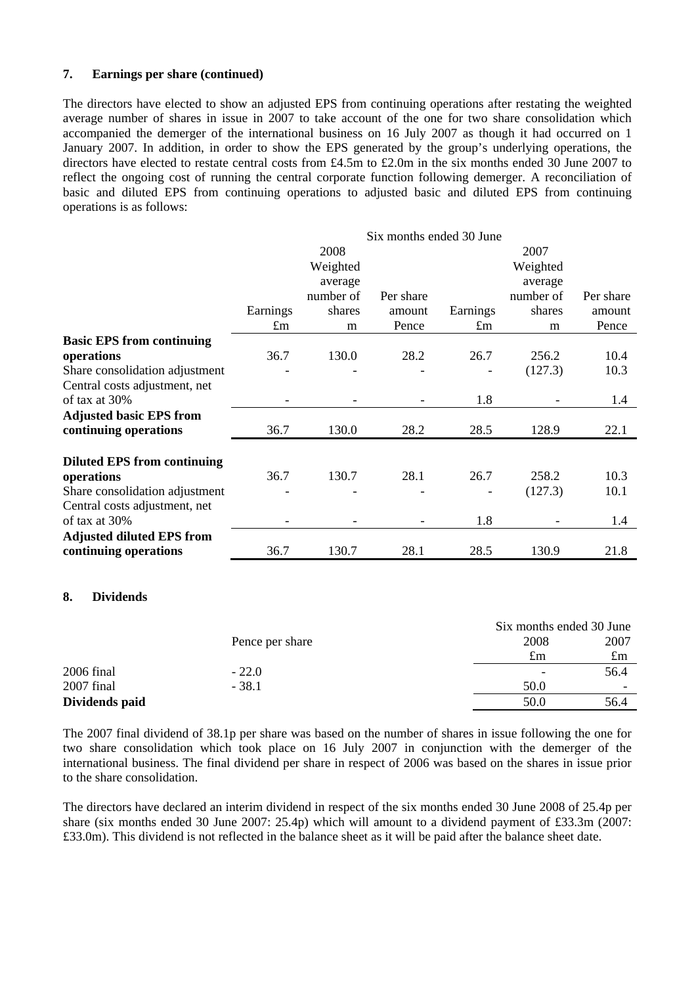### **7. Earnings per share (continued)**

The directors have elected to show an adjusted EPS from continuing operations after restating the weighted average number of shares in issue in 2007 to take account of the one for two share consolidation which accompanied the demerger of the international business on 16 July 2007 as though it had occurred on 1 January 2007. In addition, in order to show the EPS generated by the group's underlying operations, the directors have elected to restate central costs from £4.5m to £2.0m in the six months ended 30 June 2007 to reflect the ongoing cost of running the central corporate function following demerger. A reconciliation of basic and diluted EPS from continuing operations to adjusted basic and diluted EPS from continuing operations is as follows:

|                                    | Six months ended 30 June |           |           |             |           |           |
|------------------------------------|--------------------------|-----------|-----------|-------------|-----------|-----------|
|                                    |                          | 2008      |           |             | 2007      |           |
|                                    |                          | Weighted  |           |             | Weighted  |           |
|                                    |                          | average   |           |             | average   |           |
|                                    |                          | number of | Per share |             | number of | Per share |
|                                    | Earnings                 | shares    | amount    | Earnings    | shares    | amount    |
|                                    | $\pounds$ m              | m         | Pence     | $\pounds$ m | m         | Pence     |
| <b>Basic EPS from continuing</b>   |                          |           |           |             |           |           |
| operations                         | 36.7                     | 130.0     | 28.2      | 26.7        | 256.2     | 10.4      |
| Share consolidation adjustment     |                          |           |           |             | (127.3)   | 10.3      |
| Central costs adjustment, net      |                          |           |           |             |           |           |
| of tax at 30%                      |                          |           |           | 1.8         |           | 1.4       |
| <b>Adjusted basic EPS from</b>     |                          |           |           |             |           |           |
| continuing operations              | 36.7                     | 130.0     | 28.2      | 28.5        | 128.9     | 22.1      |
|                                    |                          |           |           |             |           |           |
| <b>Diluted EPS from continuing</b> |                          |           |           |             |           |           |
| operations                         | 36.7                     | 130.7     | 28.1      | 26.7        | 258.2     | 10.3      |
| Share consolidation adjustment     |                          |           |           |             | (127.3)   | 10.1      |
| Central costs adjustment, net      |                          |           |           |             |           |           |
| of tax at 30%                      |                          |           |           | 1.8         |           | 1.4       |
| <b>Adjusted diluted EPS from</b>   |                          |           |           |             |           |           |
| continuing operations              | 36.7                     | 130.7     | 28.1      | 28.5        | 130.9     | 21.8      |

#### **8. Dividends**

|                |                 | Six months ended 30 June |             |
|----------------|-----------------|--------------------------|-------------|
|                | Pence per share | 2008                     | 2007        |
|                |                 | £m                       | $\pounds$ m |
| 2006 final     | $-22.0$         |                          | 56.4        |
| 2007 final     | $-38.1$         | 50.0                     | -           |
| Dividends paid |                 | 50.0                     | 56.4        |

The 2007 final dividend of 38.1p per share was based on the number of shares in issue following the one for two share consolidation which took place on 16 July 2007 in conjunction with the demerger of the international business. The final dividend per share in respect of 2006 was based on the shares in issue prior to the share consolidation.

The directors have declared an interim dividend in respect of the six months ended 30 June 2008 of 25.4p per share (six months ended 30 June 2007: 25.4p) which will amount to a dividend payment of £33.3m (2007: £33.0m). This dividend is not reflected in the balance sheet as it will be paid after the balance sheet date.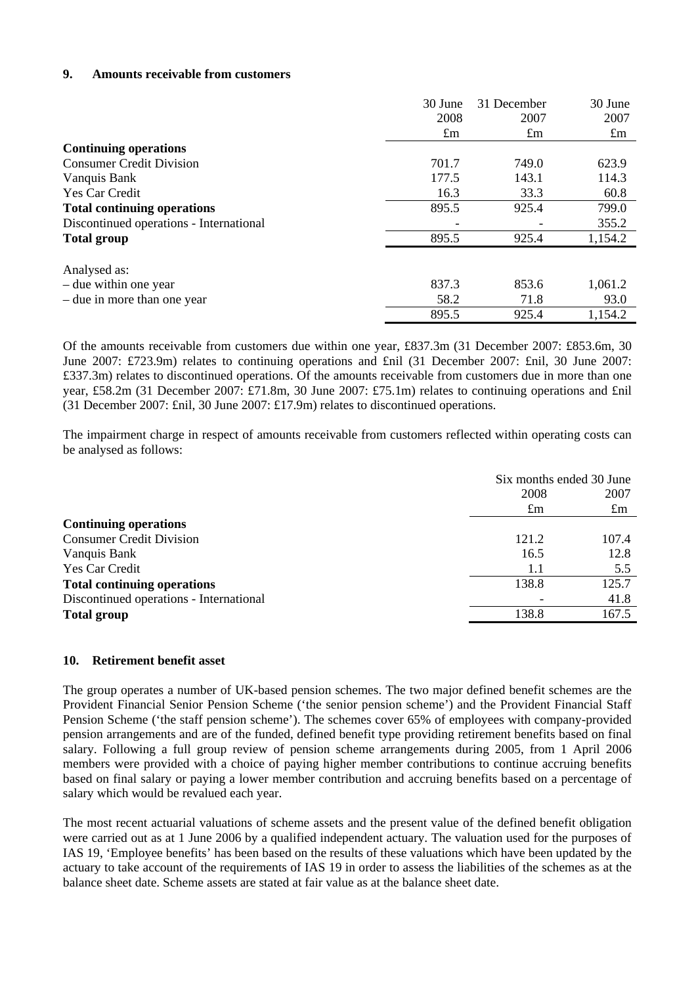### **9. Amounts receivable from customers**

|                                         | 30 June     | 31 December | 30 June     |
|-----------------------------------------|-------------|-------------|-------------|
|                                         | 2008        | 2007        | 2007        |
|                                         | $\pounds$ m | $\pounds$ m | $\pounds$ m |
| <b>Continuing operations</b>            |             |             |             |
| <b>Consumer Credit Division</b>         | 701.7       | 749.0       | 623.9       |
| Vanquis Bank                            | 177.5       | 143.1       | 114.3       |
| <b>Yes Car Credit</b>                   | 16.3        | 33.3        | 60.8        |
| <b>Total continuing operations</b>      | 895.5       | 925.4       | 799.0       |
| Discontinued operations - International |             |             | 355.2       |
| <b>Total group</b>                      | 895.5       | 925.4       | 1,154.2     |
| Analysed as:                            |             |             |             |
| – due within one year                   | 837.3       | 853.6       | 1,061.2     |
| – due in more than one year             | 58.2        | 71.8        | 93.0        |
|                                         | 895.5       | 925.4       | 1,154.2     |

Of the amounts receivable from customers due within one year, £837.3m (31 December 2007: £853.6m, 30 June 2007: £723.9m) relates to continuing operations and £nil (31 December 2007: £nil, 30 June 2007: £337.3m) relates to discontinued operations. Of the amounts receivable from customers due in more than one year, £58.2m (31 December 2007: £71.8m, 30 June 2007: £75.1m) relates to continuing operations and £nil (31 December 2007: £nil, 30 June 2007: £17.9m) relates to discontinued operations.

The impairment charge in respect of amounts receivable from customers reflected within operating costs can be analysed as follows:

|                                         |             | Six months ended 30 June |
|-----------------------------------------|-------------|--------------------------|
|                                         | 2008        | 2007                     |
|                                         | $\pounds$ m | $\pounds$ m              |
| <b>Continuing operations</b>            |             |                          |
| <b>Consumer Credit Division</b>         | 121.2       | 107.4                    |
| Vanquis Bank                            | 16.5        | 12.8                     |
| Yes Car Credit                          | 1.1         | 5.5                      |
| <b>Total continuing operations</b>      | 138.8       | 125.7                    |
| Discontinued operations - International |             | 41.8                     |
| <b>Total group</b>                      | 138.8       | 167.5                    |
|                                         |             |                          |

#### **10. Retirement benefit asset**

The group operates a number of UK-based pension schemes. The two major defined benefit schemes are the Provident Financial Senior Pension Scheme ('the senior pension scheme') and the Provident Financial Staff Pension Scheme ('the staff pension scheme'). The schemes cover 65% of employees with company-provided pension arrangements and are of the funded, defined benefit type providing retirement benefits based on final salary. Following a full group review of pension scheme arrangements during 2005, from 1 April 2006 members were provided with a choice of paying higher member contributions to continue accruing benefits based on final salary or paying a lower member contribution and accruing benefits based on a percentage of salary which would be revalued each year.

The most recent actuarial valuations of scheme assets and the present value of the defined benefit obligation were carried out as at 1 June 2006 by a qualified independent actuary. The valuation used for the purposes of IAS 19, 'Employee benefits' has been based on the results of these valuations which have been updated by the actuary to take account of the requirements of IAS 19 in order to assess the liabilities of the schemes as at the balance sheet date. Scheme assets are stated at fair value as at the balance sheet date.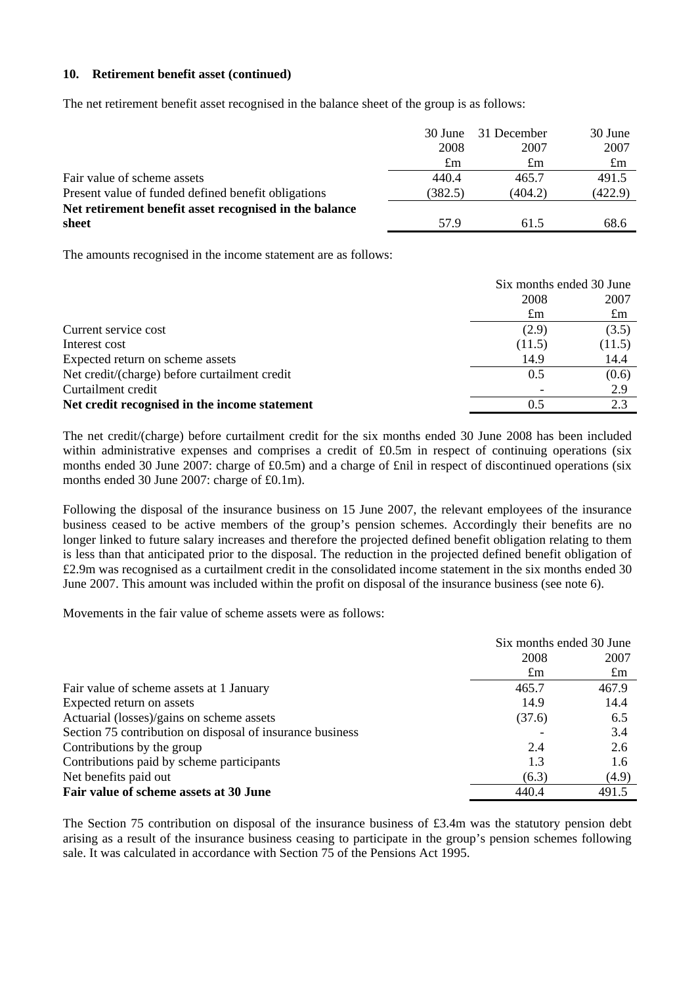#### **10. Retirement benefit asset (continued)**

The net retirement benefit asset recognised in the balance sheet of the group is as follows:

|                                                        | 30 June     | 31 December | 30 June     |
|--------------------------------------------------------|-------------|-------------|-------------|
|                                                        | 2008        | 2007        | 2007        |
|                                                        | $\pounds$ m | $\pounds$ m | $\pounds$ m |
| Fair value of scheme assets                            | 440.4       | 465.7       | 491.5       |
| Present value of funded defined benefit obligations    | (382.5)     | (404.2)     | (422.9)     |
| Net retirement benefit asset recognised in the balance |             |             |             |
| sheet                                                  | 57.9        | 61.5        | 68.6        |

The amounts recognised in the income statement are as follows:

|                                               | Six months ended 30 June |             |
|-----------------------------------------------|--------------------------|-------------|
|                                               | 2008                     | 2007        |
|                                               | $\pounds$ m              | $\pounds$ m |
| Current service cost                          | (2.9)                    | (3.5)       |
| Interest cost                                 | (11.5)                   | (11.5)      |
| Expected return on scheme assets              | 14.9                     | 14.4        |
| Net credit/(charge) before curtailment credit | 0.5                      | (0.6)       |
| Curtailment credit                            |                          | 2.9         |
| Net credit recognised in the income statement | 0.5                      | 2.3         |

The net credit/(charge) before curtailment credit for the six months ended 30 June 2008 has been included within administrative expenses and comprises a credit of £0.5m in respect of continuing operations (six months ended 30 June 2007: charge of £0.5m) and a charge of £nil in respect of discontinued operations (six months ended 30 June 2007: charge of £0.1m).

Following the disposal of the insurance business on 15 June 2007, the relevant employees of the insurance business ceased to be active members of the group's pension schemes. Accordingly their benefits are no longer linked to future salary increases and therefore the projected defined benefit obligation relating to them is less than that anticipated prior to the disposal. The reduction in the projected defined benefit obligation of £2.9m was recognised as a curtailment credit in the consolidated income statement in the six months ended 30 June 2007. This amount was included within the profit on disposal of the insurance business (see note 6).

Movements in the fair value of scheme assets were as follows:

|                                                           | Six months ended 30 June |             |
|-----------------------------------------------------------|--------------------------|-------------|
|                                                           | 2008                     | 2007        |
|                                                           | $\pounds$ m              | $\pounds$ m |
| Fair value of scheme assets at 1 January                  | 465.7                    | 467.9       |
| Expected return on assets                                 | 14.9                     | 14.4        |
| Actuarial (losses)/gains on scheme assets                 | (37.6)                   | 6.5         |
| Section 75 contribution on disposal of insurance business |                          | 3.4         |
| Contributions by the group                                | 2.4                      | 2.6         |
| Contributions paid by scheme participants                 | 1.3                      | 1.6         |
| Net benefits paid out                                     | (6.3)                    | (4.9)       |
| Fair value of scheme assets at 30 June                    | 440.4                    | 491.5       |

The Section 75 contribution on disposal of the insurance business of £3.4m was the statutory pension debt arising as a result of the insurance business ceasing to participate in the group's pension schemes following sale. It was calculated in accordance with Section 75 of the Pensions Act 1995.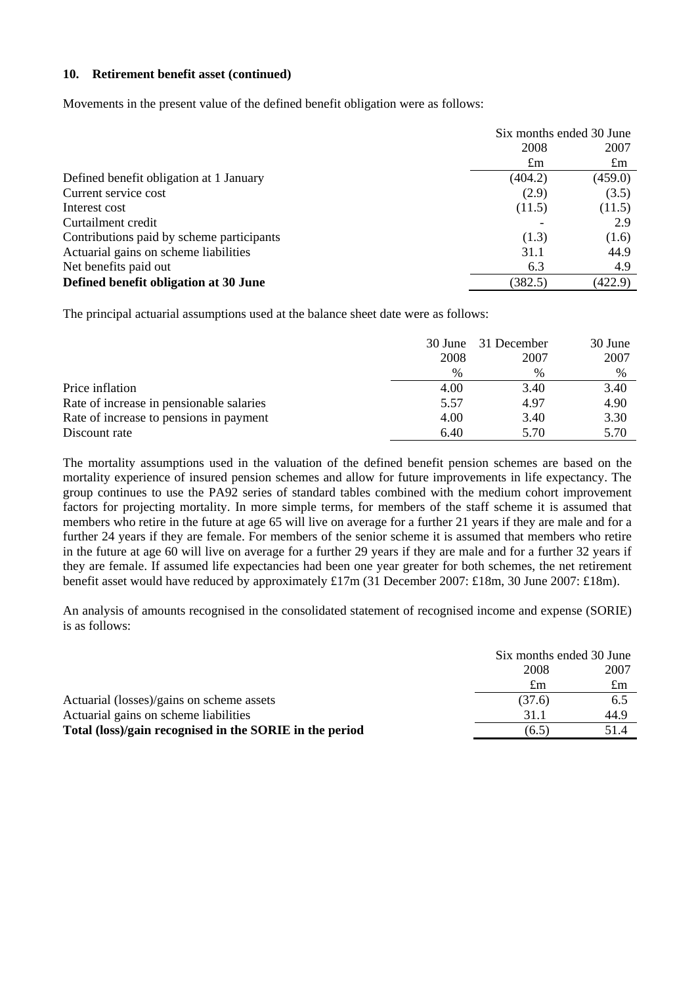### **10. Retirement benefit asset (continued)**

Movements in the present value of the defined benefit obligation were as follows:

|                                           | Six months ended 30 June |             |  |
|-------------------------------------------|--------------------------|-------------|--|
|                                           | 2008<br>2007             |             |  |
|                                           | $\pounds$ m              | $\pounds$ m |  |
| Defined benefit obligation at 1 January   | (404.2)                  | (459.0)     |  |
| Current service cost                      | (2.9)                    | (3.5)       |  |
| Interest cost                             | (11.5)                   | (11.5)      |  |
| Curtailment credit                        |                          | 2.9         |  |
| Contributions paid by scheme participants | (1.3)                    | (1.6)       |  |
| Actuarial gains on scheme liabilities     | 31.1                     | 44.9        |  |
| Net benefits paid out                     | 6.3                      | 4.9         |  |
| Defined benefit obligation at 30 June     | (382.5)                  | (422.9)     |  |

The principal actuarial assumptions used at the balance sheet date were as follows:

|                                          |               | 30 June 31 December | 30 June |
|------------------------------------------|---------------|---------------------|---------|
|                                          | 2008          | 2007                | 2007    |
|                                          | $\frac{0}{0}$ | %                   | $\%$    |
| Price inflation                          | 4.00          | 3.40                | 3.40    |
| Rate of increase in pensionable salaries | 5.57          | 4.97                | 4.90    |
| Rate of increase to pensions in payment  | 4.00          | 3.40                | 3.30    |
| Discount rate                            | 6.40          | 5.70                | 5.70    |

The mortality assumptions used in the valuation of the defined benefit pension schemes are based on the mortality experience of insured pension schemes and allow for future improvements in life expectancy. The group continues to use the PA92 series of standard tables combined with the medium cohort improvement factors for projecting mortality. In more simple terms, for members of the staff scheme it is assumed that members who retire in the future at age 65 will live on average for a further 21 years if they are male and for a further 24 years if they are female. For members of the senior scheme it is assumed that members who retire in the future at age 60 will live on average for a further 29 years if they are male and for a further 32 years if they are female. If assumed life expectancies had been one year greater for both schemes, the net retirement benefit asset would have reduced by approximately £17m (31 December 2007: £18m, 30 June 2007: £18m).

An analysis of amounts recognised in the consolidated statement of recognised income and expense (SORIE) is as follows:

|                                                         |        | Six months ended 30 June |  |
|---------------------------------------------------------|--------|--------------------------|--|
|                                                         | 2008   | 2007                     |  |
|                                                         | £m     | $\pounds$ m              |  |
| Actuarial (losses)/gains on scheme assets               | (37.6) | 6.5                      |  |
| Actuarial gains on scheme liabilities                   | 31.1   | 44.9                     |  |
| Total (loss)/gain recognised in the SORIE in the period | (6.5)  | 51.4                     |  |
|                                                         |        |                          |  |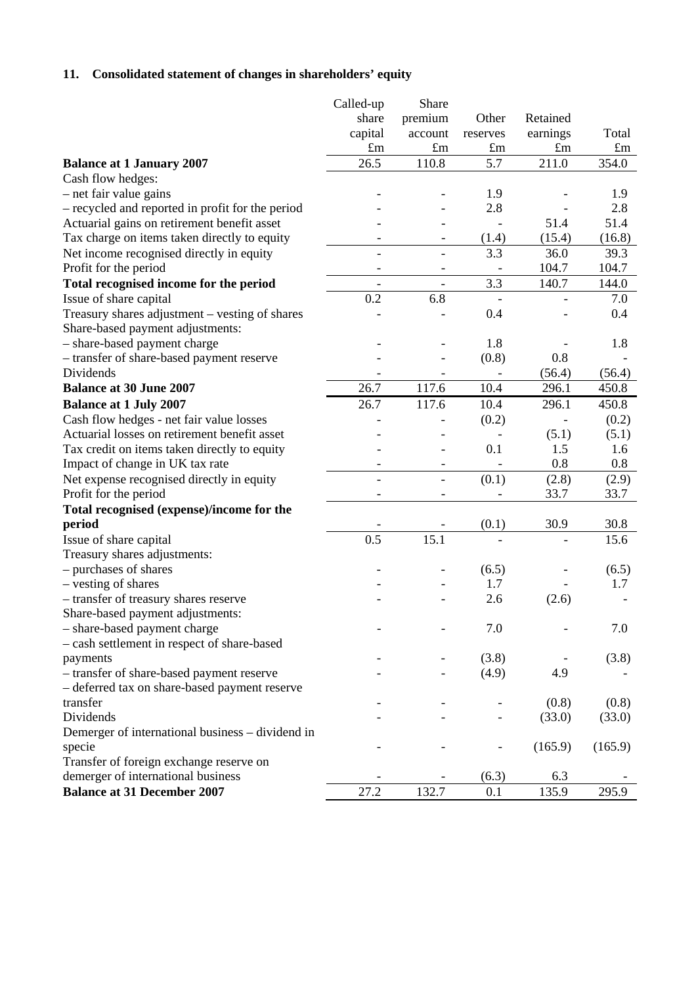# **11. Consolidated statement of changes in shareholders' equity**

| share<br>premium<br>Other<br>Retained<br>capital<br>Total<br>earnings<br>account<br>reserves<br>$\pounds$ m<br>$\pounds$ m<br>$\pounds$ m<br>$\pounds$ m<br>$\pounds$ m<br>26.5<br>110.8<br>5.7<br>211.0<br>354.0<br><b>Balance at 1 January 2007</b><br>Cash flow hedges:<br>- net fair value gains<br>1.9<br>1.9<br>2.8<br>2.8<br>- recycled and reported in profit for the period<br>51.4<br>51.4<br>Actuarial gains on retirement benefit asset<br>Tax charge on items taken directly to equity<br>(15.4)<br>(16.8)<br>(1.4)<br>$\overline{\phantom{0}}$<br>3.3<br>Net income recognised directly in equity<br>36.0<br>39.3<br>$\overline{a}$<br>104.7<br>Profit for the period<br>104.7<br>-<br>3.3<br>Total recognised income for the period<br>140.7<br>144.0<br>$\overline{\phantom{a}}$<br>$\overline{\phantom{a}}$<br>0.2<br>6.8<br>Issue of share capital<br>7.0<br>Treasury shares adjustment - vesting of shares<br>0.4<br>0.4<br>Share-based payment adjustments:<br>- share-based payment charge<br>1.8<br>1.8<br>(0.8)<br>0.8<br>- transfer of share-based payment reserve<br>Dividends<br>(56.4)<br>(56.4)<br><b>Balance at 30 June 2007</b><br>26.7<br>117.6<br>10.4<br>296.1<br>450.8<br>26.7<br>117.6<br><b>Balance at 1 July 2007</b><br>10.4<br>296.1<br>450.8<br>Cash flow hedges - net fair value losses<br>(0.2)<br>(0.2)<br>Actuarial losses on retirement benefit asset<br>(5.1)<br>(5.1)<br>0.1<br>1.6<br>Tax credit on items taken directly to equity<br>1.5<br>Impact of change in UK tax rate<br>0.8<br>0.8<br>$\overline{\phantom{0}}$<br>٠<br>Net expense recognised directly in equity<br>(0.1)<br>(2.8)<br>(2.9)<br>$\overline{a}$<br>$\overline{a}$<br>33.7<br>Profit for the period<br>33.7<br>$\blacksquare$<br>$\overline{\phantom{0}}$<br>Total recognised (expense)/income for the<br>period<br>(0.1)<br>30.9<br>30.8<br>0.5<br>15.1<br>15.6<br>Issue of share capital<br>Treasury shares adjustments:<br>- purchases of shares<br>(6.5)<br>(6.5)<br>- vesting of shares<br>1.7<br>1.7<br>- transfer of treasury shares reserve<br>2.6<br>(2.6)<br>Share-based payment adjustments:<br>- share-based payment charge<br>7.0<br>7.0<br>- cash settlement in respect of share-based<br>(3.8)<br>(3.8)<br>payments<br>- transfer of share-based payment reserve<br>(4.9)<br>4.9<br>- deferred tax on share-based payment reserve<br>transfer<br>(0.8)<br>(0.8) |
|-----------------------------------------------------------------------------------------------------------------------------------------------------------------------------------------------------------------------------------------------------------------------------------------------------------------------------------------------------------------------------------------------------------------------------------------------------------------------------------------------------------------------------------------------------------------------------------------------------------------------------------------------------------------------------------------------------------------------------------------------------------------------------------------------------------------------------------------------------------------------------------------------------------------------------------------------------------------------------------------------------------------------------------------------------------------------------------------------------------------------------------------------------------------------------------------------------------------------------------------------------------------------------------------------------------------------------------------------------------------------------------------------------------------------------------------------------------------------------------------------------------------------------------------------------------------------------------------------------------------------------------------------------------------------------------------------------------------------------------------------------------------------------------------------------------------------------------------------------------------------------------------------------------------------------------------------------------------------------------------------------------------------------------------------------------------------------------------------------------------------------------------------------------------------------------------------------------------------------------------------------------------------------------------------------------------------------------------------------------------------------------------------------|
|                                                                                                                                                                                                                                                                                                                                                                                                                                                                                                                                                                                                                                                                                                                                                                                                                                                                                                                                                                                                                                                                                                                                                                                                                                                                                                                                                                                                                                                                                                                                                                                                                                                                                                                                                                                                                                                                                                                                                                                                                                                                                                                                                                                                                                                                                                                                                                                                     |
|                                                                                                                                                                                                                                                                                                                                                                                                                                                                                                                                                                                                                                                                                                                                                                                                                                                                                                                                                                                                                                                                                                                                                                                                                                                                                                                                                                                                                                                                                                                                                                                                                                                                                                                                                                                                                                                                                                                                                                                                                                                                                                                                                                                                                                                                                                                                                                                                     |
|                                                                                                                                                                                                                                                                                                                                                                                                                                                                                                                                                                                                                                                                                                                                                                                                                                                                                                                                                                                                                                                                                                                                                                                                                                                                                                                                                                                                                                                                                                                                                                                                                                                                                                                                                                                                                                                                                                                                                                                                                                                                                                                                                                                                                                                                                                                                                                                                     |
|                                                                                                                                                                                                                                                                                                                                                                                                                                                                                                                                                                                                                                                                                                                                                                                                                                                                                                                                                                                                                                                                                                                                                                                                                                                                                                                                                                                                                                                                                                                                                                                                                                                                                                                                                                                                                                                                                                                                                                                                                                                                                                                                                                                                                                                                                                                                                                                                     |
|                                                                                                                                                                                                                                                                                                                                                                                                                                                                                                                                                                                                                                                                                                                                                                                                                                                                                                                                                                                                                                                                                                                                                                                                                                                                                                                                                                                                                                                                                                                                                                                                                                                                                                                                                                                                                                                                                                                                                                                                                                                                                                                                                                                                                                                                                                                                                                                                     |
|                                                                                                                                                                                                                                                                                                                                                                                                                                                                                                                                                                                                                                                                                                                                                                                                                                                                                                                                                                                                                                                                                                                                                                                                                                                                                                                                                                                                                                                                                                                                                                                                                                                                                                                                                                                                                                                                                                                                                                                                                                                                                                                                                                                                                                                                                                                                                                                                     |
|                                                                                                                                                                                                                                                                                                                                                                                                                                                                                                                                                                                                                                                                                                                                                                                                                                                                                                                                                                                                                                                                                                                                                                                                                                                                                                                                                                                                                                                                                                                                                                                                                                                                                                                                                                                                                                                                                                                                                                                                                                                                                                                                                                                                                                                                                                                                                                                                     |
|                                                                                                                                                                                                                                                                                                                                                                                                                                                                                                                                                                                                                                                                                                                                                                                                                                                                                                                                                                                                                                                                                                                                                                                                                                                                                                                                                                                                                                                                                                                                                                                                                                                                                                                                                                                                                                                                                                                                                                                                                                                                                                                                                                                                                                                                                                                                                                                                     |
|                                                                                                                                                                                                                                                                                                                                                                                                                                                                                                                                                                                                                                                                                                                                                                                                                                                                                                                                                                                                                                                                                                                                                                                                                                                                                                                                                                                                                                                                                                                                                                                                                                                                                                                                                                                                                                                                                                                                                                                                                                                                                                                                                                                                                                                                                                                                                                                                     |
|                                                                                                                                                                                                                                                                                                                                                                                                                                                                                                                                                                                                                                                                                                                                                                                                                                                                                                                                                                                                                                                                                                                                                                                                                                                                                                                                                                                                                                                                                                                                                                                                                                                                                                                                                                                                                                                                                                                                                                                                                                                                                                                                                                                                                                                                                                                                                                                                     |
|                                                                                                                                                                                                                                                                                                                                                                                                                                                                                                                                                                                                                                                                                                                                                                                                                                                                                                                                                                                                                                                                                                                                                                                                                                                                                                                                                                                                                                                                                                                                                                                                                                                                                                                                                                                                                                                                                                                                                                                                                                                                                                                                                                                                                                                                                                                                                                                                     |
|                                                                                                                                                                                                                                                                                                                                                                                                                                                                                                                                                                                                                                                                                                                                                                                                                                                                                                                                                                                                                                                                                                                                                                                                                                                                                                                                                                                                                                                                                                                                                                                                                                                                                                                                                                                                                                                                                                                                                                                                                                                                                                                                                                                                                                                                                                                                                                                                     |
|                                                                                                                                                                                                                                                                                                                                                                                                                                                                                                                                                                                                                                                                                                                                                                                                                                                                                                                                                                                                                                                                                                                                                                                                                                                                                                                                                                                                                                                                                                                                                                                                                                                                                                                                                                                                                                                                                                                                                                                                                                                                                                                                                                                                                                                                                                                                                                                                     |
|                                                                                                                                                                                                                                                                                                                                                                                                                                                                                                                                                                                                                                                                                                                                                                                                                                                                                                                                                                                                                                                                                                                                                                                                                                                                                                                                                                                                                                                                                                                                                                                                                                                                                                                                                                                                                                                                                                                                                                                                                                                                                                                                                                                                                                                                                                                                                                                                     |
|                                                                                                                                                                                                                                                                                                                                                                                                                                                                                                                                                                                                                                                                                                                                                                                                                                                                                                                                                                                                                                                                                                                                                                                                                                                                                                                                                                                                                                                                                                                                                                                                                                                                                                                                                                                                                                                                                                                                                                                                                                                                                                                                                                                                                                                                                                                                                                                                     |
|                                                                                                                                                                                                                                                                                                                                                                                                                                                                                                                                                                                                                                                                                                                                                                                                                                                                                                                                                                                                                                                                                                                                                                                                                                                                                                                                                                                                                                                                                                                                                                                                                                                                                                                                                                                                                                                                                                                                                                                                                                                                                                                                                                                                                                                                                                                                                                                                     |
|                                                                                                                                                                                                                                                                                                                                                                                                                                                                                                                                                                                                                                                                                                                                                                                                                                                                                                                                                                                                                                                                                                                                                                                                                                                                                                                                                                                                                                                                                                                                                                                                                                                                                                                                                                                                                                                                                                                                                                                                                                                                                                                                                                                                                                                                                                                                                                                                     |
|                                                                                                                                                                                                                                                                                                                                                                                                                                                                                                                                                                                                                                                                                                                                                                                                                                                                                                                                                                                                                                                                                                                                                                                                                                                                                                                                                                                                                                                                                                                                                                                                                                                                                                                                                                                                                                                                                                                                                                                                                                                                                                                                                                                                                                                                                                                                                                                                     |
|                                                                                                                                                                                                                                                                                                                                                                                                                                                                                                                                                                                                                                                                                                                                                                                                                                                                                                                                                                                                                                                                                                                                                                                                                                                                                                                                                                                                                                                                                                                                                                                                                                                                                                                                                                                                                                                                                                                                                                                                                                                                                                                                                                                                                                                                                                                                                                                                     |
|                                                                                                                                                                                                                                                                                                                                                                                                                                                                                                                                                                                                                                                                                                                                                                                                                                                                                                                                                                                                                                                                                                                                                                                                                                                                                                                                                                                                                                                                                                                                                                                                                                                                                                                                                                                                                                                                                                                                                                                                                                                                                                                                                                                                                                                                                                                                                                                                     |
|                                                                                                                                                                                                                                                                                                                                                                                                                                                                                                                                                                                                                                                                                                                                                                                                                                                                                                                                                                                                                                                                                                                                                                                                                                                                                                                                                                                                                                                                                                                                                                                                                                                                                                                                                                                                                                                                                                                                                                                                                                                                                                                                                                                                                                                                                                                                                                                                     |
|                                                                                                                                                                                                                                                                                                                                                                                                                                                                                                                                                                                                                                                                                                                                                                                                                                                                                                                                                                                                                                                                                                                                                                                                                                                                                                                                                                                                                                                                                                                                                                                                                                                                                                                                                                                                                                                                                                                                                                                                                                                                                                                                                                                                                                                                                                                                                                                                     |
|                                                                                                                                                                                                                                                                                                                                                                                                                                                                                                                                                                                                                                                                                                                                                                                                                                                                                                                                                                                                                                                                                                                                                                                                                                                                                                                                                                                                                                                                                                                                                                                                                                                                                                                                                                                                                                                                                                                                                                                                                                                                                                                                                                                                                                                                                                                                                                                                     |
|                                                                                                                                                                                                                                                                                                                                                                                                                                                                                                                                                                                                                                                                                                                                                                                                                                                                                                                                                                                                                                                                                                                                                                                                                                                                                                                                                                                                                                                                                                                                                                                                                                                                                                                                                                                                                                                                                                                                                                                                                                                                                                                                                                                                                                                                                                                                                                                                     |
|                                                                                                                                                                                                                                                                                                                                                                                                                                                                                                                                                                                                                                                                                                                                                                                                                                                                                                                                                                                                                                                                                                                                                                                                                                                                                                                                                                                                                                                                                                                                                                                                                                                                                                                                                                                                                                                                                                                                                                                                                                                                                                                                                                                                                                                                                                                                                                                                     |
|                                                                                                                                                                                                                                                                                                                                                                                                                                                                                                                                                                                                                                                                                                                                                                                                                                                                                                                                                                                                                                                                                                                                                                                                                                                                                                                                                                                                                                                                                                                                                                                                                                                                                                                                                                                                                                                                                                                                                                                                                                                                                                                                                                                                                                                                                                                                                                                                     |
|                                                                                                                                                                                                                                                                                                                                                                                                                                                                                                                                                                                                                                                                                                                                                                                                                                                                                                                                                                                                                                                                                                                                                                                                                                                                                                                                                                                                                                                                                                                                                                                                                                                                                                                                                                                                                                                                                                                                                                                                                                                                                                                                                                                                                                                                                                                                                                                                     |
|                                                                                                                                                                                                                                                                                                                                                                                                                                                                                                                                                                                                                                                                                                                                                                                                                                                                                                                                                                                                                                                                                                                                                                                                                                                                                                                                                                                                                                                                                                                                                                                                                                                                                                                                                                                                                                                                                                                                                                                                                                                                                                                                                                                                                                                                                                                                                                                                     |
|                                                                                                                                                                                                                                                                                                                                                                                                                                                                                                                                                                                                                                                                                                                                                                                                                                                                                                                                                                                                                                                                                                                                                                                                                                                                                                                                                                                                                                                                                                                                                                                                                                                                                                                                                                                                                                                                                                                                                                                                                                                                                                                                                                                                                                                                                                                                                                                                     |
|                                                                                                                                                                                                                                                                                                                                                                                                                                                                                                                                                                                                                                                                                                                                                                                                                                                                                                                                                                                                                                                                                                                                                                                                                                                                                                                                                                                                                                                                                                                                                                                                                                                                                                                                                                                                                                                                                                                                                                                                                                                                                                                                                                                                                                                                                                                                                                                                     |
|                                                                                                                                                                                                                                                                                                                                                                                                                                                                                                                                                                                                                                                                                                                                                                                                                                                                                                                                                                                                                                                                                                                                                                                                                                                                                                                                                                                                                                                                                                                                                                                                                                                                                                                                                                                                                                                                                                                                                                                                                                                                                                                                                                                                                                                                                                                                                                                                     |
|                                                                                                                                                                                                                                                                                                                                                                                                                                                                                                                                                                                                                                                                                                                                                                                                                                                                                                                                                                                                                                                                                                                                                                                                                                                                                                                                                                                                                                                                                                                                                                                                                                                                                                                                                                                                                                                                                                                                                                                                                                                                                                                                                                                                                                                                                                                                                                                                     |
|                                                                                                                                                                                                                                                                                                                                                                                                                                                                                                                                                                                                                                                                                                                                                                                                                                                                                                                                                                                                                                                                                                                                                                                                                                                                                                                                                                                                                                                                                                                                                                                                                                                                                                                                                                                                                                                                                                                                                                                                                                                                                                                                                                                                                                                                                                                                                                                                     |
|                                                                                                                                                                                                                                                                                                                                                                                                                                                                                                                                                                                                                                                                                                                                                                                                                                                                                                                                                                                                                                                                                                                                                                                                                                                                                                                                                                                                                                                                                                                                                                                                                                                                                                                                                                                                                                                                                                                                                                                                                                                                                                                                                                                                                                                                                                                                                                                                     |
|                                                                                                                                                                                                                                                                                                                                                                                                                                                                                                                                                                                                                                                                                                                                                                                                                                                                                                                                                                                                                                                                                                                                                                                                                                                                                                                                                                                                                                                                                                                                                                                                                                                                                                                                                                                                                                                                                                                                                                                                                                                                                                                                                                                                                                                                                                                                                                                                     |
|                                                                                                                                                                                                                                                                                                                                                                                                                                                                                                                                                                                                                                                                                                                                                                                                                                                                                                                                                                                                                                                                                                                                                                                                                                                                                                                                                                                                                                                                                                                                                                                                                                                                                                                                                                                                                                                                                                                                                                                                                                                                                                                                                                                                                                                                                                                                                                                                     |
|                                                                                                                                                                                                                                                                                                                                                                                                                                                                                                                                                                                                                                                                                                                                                                                                                                                                                                                                                                                                                                                                                                                                                                                                                                                                                                                                                                                                                                                                                                                                                                                                                                                                                                                                                                                                                                                                                                                                                                                                                                                                                                                                                                                                                                                                                                                                                                                                     |
|                                                                                                                                                                                                                                                                                                                                                                                                                                                                                                                                                                                                                                                                                                                                                                                                                                                                                                                                                                                                                                                                                                                                                                                                                                                                                                                                                                                                                                                                                                                                                                                                                                                                                                                                                                                                                                                                                                                                                                                                                                                                                                                                                                                                                                                                                                                                                                                                     |
|                                                                                                                                                                                                                                                                                                                                                                                                                                                                                                                                                                                                                                                                                                                                                                                                                                                                                                                                                                                                                                                                                                                                                                                                                                                                                                                                                                                                                                                                                                                                                                                                                                                                                                                                                                                                                                                                                                                                                                                                                                                                                                                                                                                                                                                                                                                                                                                                     |
|                                                                                                                                                                                                                                                                                                                                                                                                                                                                                                                                                                                                                                                                                                                                                                                                                                                                                                                                                                                                                                                                                                                                                                                                                                                                                                                                                                                                                                                                                                                                                                                                                                                                                                                                                                                                                                                                                                                                                                                                                                                                                                                                                                                                                                                                                                                                                                                                     |
| Dividends<br>(33.0)<br>(33.0)                                                                                                                                                                                                                                                                                                                                                                                                                                                                                                                                                                                                                                                                                                                                                                                                                                                                                                                                                                                                                                                                                                                                                                                                                                                                                                                                                                                                                                                                                                                                                                                                                                                                                                                                                                                                                                                                                                                                                                                                                                                                                                                                                                                                                                                                                                                                                                       |
| Demerger of international business – dividend in                                                                                                                                                                                                                                                                                                                                                                                                                                                                                                                                                                                                                                                                                                                                                                                                                                                                                                                                                                                                                                                                                                                                                                                                                                                                                                                                                                                                                                                                                                                                                                                                                                                                                                                                                                                                                                                                                                                                                                                                                                                                                                                                                                                                                                                                                                                                                    |
| specie<br>(165.9)<br>(165.9)                                                                                                                                                                                                                                                                                                                                                                                                                                                                                                                                                                                                                                                                                                                                                                                                                                                                                                                                                                                                                                                                                                                                                                                                                                                                                                                                                                                                                                                                                                                                                                                                                                                                                                                                                                                                                                                                                                                                                                                                                                                                                                                                                                                                                                                                                                                                                                        |
| Transfer of foreign exchange reserve on                                                                                                                                                                                                                                                                                                                                                                                                                                                                                                                                                                                                                                                                                                                                                                                                                                                                                                                                                                                                                                                                                                                                                                                                                                                                                                                                                                                                                                                                                                                                                                                                                                                                                                                                                                                                                                                                                                                                                                                                                                                                                                                                                                                                                                                                                                                                                             |
| demerger of international business<br>(6.3)<br>6.3                                                                                                                                                                                                                                                                                                                                                                                                                                                                                                                                                                                                                                                                                                                                                                                                                                                                                                                                                                                                                                                                                                                                                                                                                                                                                                                                                                                                                                                                                                                                                                                                                                                                                                                                                                                                                                                                                                                                                                                                                                                                                                                                                                                                                                                                                                                                                  |
| 132.7<br><b>Balance at 31 December 2007</b><br>27.2<br>135.9<br>295.9<br>0.1                                                                                                                                                                                                                                                                                                                                                                                                                                                                                                                                                                                                                                                                                                                                                                                                                                                                                                                                                                                                                                                                                                                                                                                                                                                                                                                                                                                                                                                                                                                                                                                                                                                                                                                                                                                                                                                                                                                                                                                                                                                                                                                                                                                                                                                                                                                        |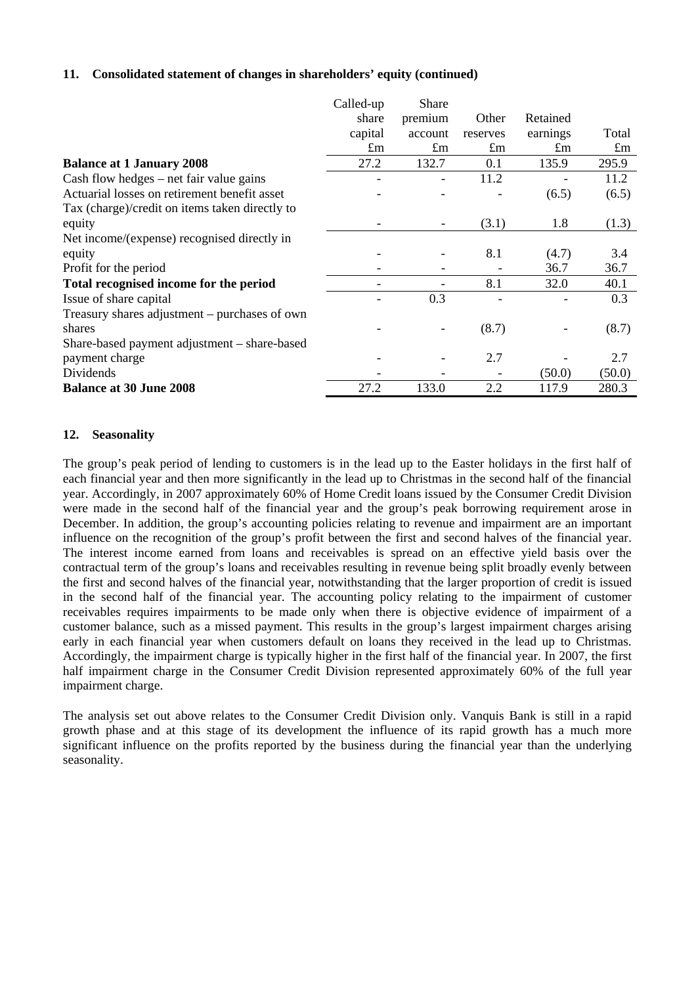## **11. Consolidated statement of changes in shareholders' equity (continued)**

|                                                | Called-up                    | Share                    |             |             |             |
|------------------------------------------------|------------------------------|--------------------------|-------------|-------------|-------------|
|                                                | share                        | premium                  | Other       | Retained    |             |
|                                                | capital                      | account                  | reserves    | earnings    | Total       |
|                                                | $\pounds$ m                  | $\pounds$ m              | $\pounds$ m | $\pounds$ m | $\pounds$ m |
| <b>Balance at 1 January 2008</b>               | 27.2                         | 132.7                    | 0.1         | 135.9       | 295.9       |
| $Cash flow hedges - net fair value gains$      | $\qquad \qquad \blacksquare$ |                          | 11.2        |             | 11.2        |
| Actuarial losses on retirement benefit asset   |                              |                          |             | (6.5)       | (6.5)       |
| Tax (charge)/credit on items taken directly to |                              |                          |             |             |             |
| equity                                         |                              | $\overline{\phantom{0}}$ | (3.1)       | 1.8         | (1.3)       |
| Net income/(expense) recognised directly in    |                              |                          |             |             |             |
| equity                                         |                              |                          | 8.1         | (4.7)       | 3.4         |
| Profit for the period                          |                              |                          |             | 36.7        | 36.7        |
| Total recognised income for the period         |                              |                          | 8.1         | 32.0        | 40.1        |
| Issue of share capital                         |                              | 0.3                      |             |             | 0.3         |
| Treasury shares adjustment – purchases of own  |                              |                          |             |             |             |
| shares                                         |                              |                          | (8.7)       |             | (8.7)       |
| Share-based payment adjustment – share-based   |                              |                          |             |             |             |
| payment charge                                 |                              |                          | 2.7         |             | 2.7         |
| Dividends                                      |                              |                          |             | (50.0)      | (50.0)      |
| <b>Balance at 30 June 2008</b>                 | 27.2                         | 133.0                    | 2.2         | 117.9       | 280.3       |

## **12. Seasonality**

The group's peak period of lending to customers is in the lead up to the Easter holidays in the first half of each financial year and then more significantly in the lead up to Christmas in the second half of the financial year. Accordingly, in 2007 approximately 60% of Home Credit loans issued by the Consumer Credit Division were made in the second half of the financial year and the group's peak borrowing requirement arose in December. In addition, the group's accounting policies relating to revenue and impairment are an important influence on the recognition of the group's profit between the first and second halves of the financial year. The interest income earned from loans and receivables is spread on an effective yield basis over the contractual term of the group's loans and receivables resulting in revenue being split broadly evenly between the first and second halves of the financial year, notwithstanding that the larger proportion of credit is issued in the second half of the financial year. The accounting policy relating to the impairment of customer receivables requires impairments to be made only when there is objective evidence of impairment of a customer balance, such as a missed payment. This results in the group's largest impairment charges arising early in each financial year when customers default on loans they received in the lead up to Christmas. Accordingly, the impairment charge is typically higher in the first half of the financial year. In 2007, the first half impairment charge in the Consumer Credit Division represented approximately 60% of the full year impairment charge.

The analysis set out above relates to the Consumer Credit Division only. Vanquis Bank is still in a rapid growth phase and at this stage of its development the influence of its rapid growth has a much more significant influence on the profits reported by the business during the financial year than the underlying seasonality.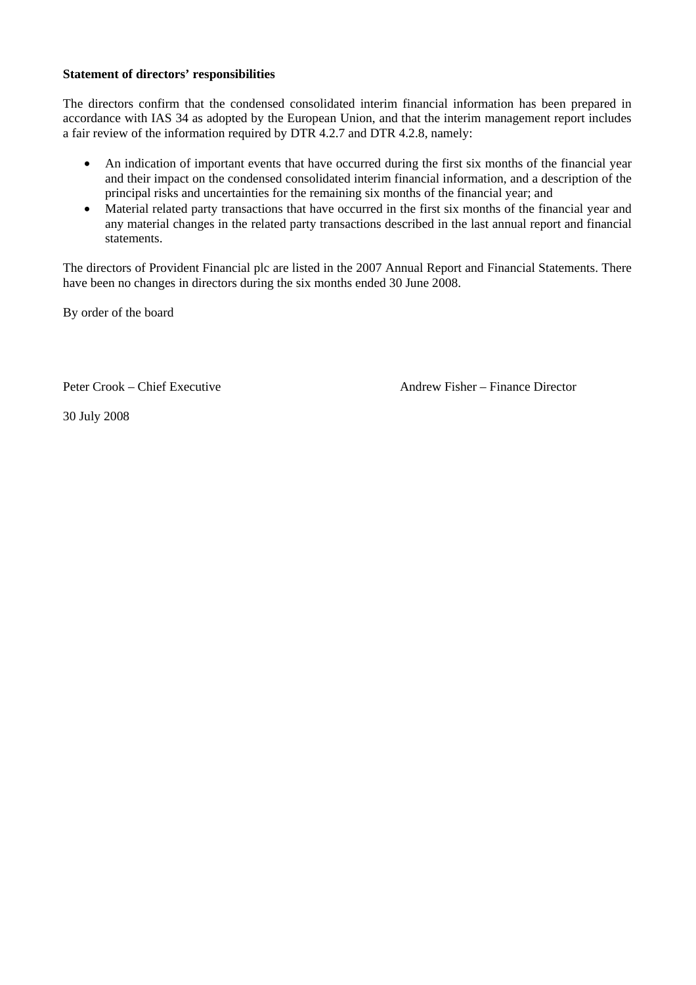### **Statement of directors' responsibilities**

The directors confirm that the condensed consolidated interim financial information has been prepared in accordance with IAS 34 as adopted by the European Union, and that the interim management report includes a fair review of the information required by DTR 4.2.7 and DTR 4.2.8, namely:

- An indication of important events that have occurred during the first six months of the financial year and their impact on the condensed consolidated interim financial information, and a description of the principal risks and uncertainties for the remaining six months of the financial year; and
- Material related party transactions that have occurred in the first six months of the financial year and any material changes in the related party transactions described in the last annual report and financial statements.

The directors of Provident Financial plc are listed in the 2007 Annual Report and Financial Statements. There have been no changes in directors during the six months ended 30 June 2008.

By order of the board

Peter Crook – Chief Executive **Andrew Fisher – Finance Director** 

30 July 2008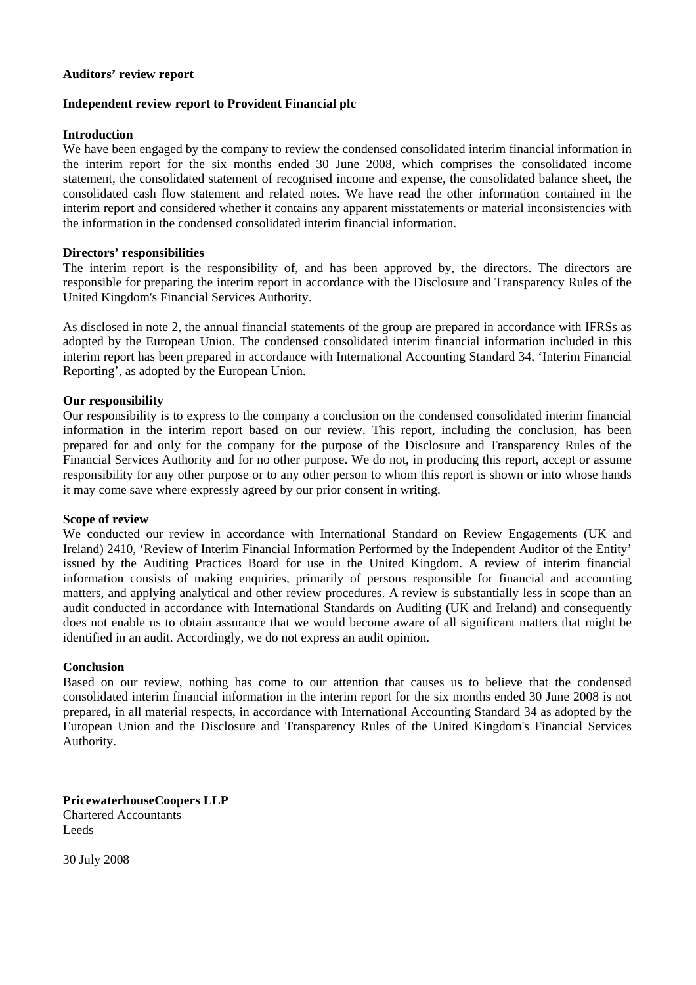#### **Auditors' review report**

#### **Independent review report to Provident Financial plc**

#### **Introduction**

We have been engaged by the company to review the condensed consolidated interim financial information in the interim report for the six months ended 30 June 2008, which comprises the consolidated income statement, the consolidated statement of recognised income and expense, the consolidated balance sheet, the consolidated cash flow statement and related notes. We have read the other information contained in the interim report and considered whether it contains any apparent misstatements or material inconsistencies with the information in the condensed consolidated interim financial information.

#### **Directors' responsibilities**

The interim report is the responsibility of, and has been approved by, the directors. The directors are responsible for preparing the interim report in accordance with the Disclosure and Transparency Rules of the United Kingdom's Financial Services Authority.

As disclosed in note 2, the annual financial statements of the group are prepared in accordance with IFRSs as adopted by the European Union. The condensed consolidated interim financial information included in this interim report has been prepared in accordance with International Accounting Standard 34, 'Interim Financial Reporting', as adopted by the European Union.

#### **Our responsibility**

Our responsibility is to express to the company a conclusion on the condensed consolidated interim financial information in the interim report based on our review. This report, including the conclusion, has been prepared for and only for the company for the purpose of the Disclosure and Transparency Rules of the Financial Services Authority and for no other purpose. We do not, in producing this report, accept or assume responsibility for any other purpose or to any other person to whom this report is shown or into whose hands it may come save where expressly agreed by our prior consent in writing.

## **Scope of review**

We conducted our review in accordance with International Standard on Review Engagements (UK and Ireland) 2410, 'Review of Interim Financial Information Performed by the Independent Auditor of the Entity' issued by the Auditing Practices Board for use in the United Kingdom. A review of interim financial information consists of making enquiries, primarily of persons responsible for financial and accounting matters, and applying analytical and other review procedures. A review is substantially less in scope than an audit conducted in accordance with International Standards on Auditing (UK and Ireland) and consequently does not enable us to obtain assurance that we would become aware of all significant matters that might be identified in an audit. Accordingly, we do not express an audit opinion.

#### **Conclusion**

Based on our review, nothing has come to our attention that causes us to believe that the condensed consolidated interim financial information in the interim report for the six months ended 30 June 2008 is not prepared, in all material respects, in accordance with International Accounting Standard 34 as adopted by the European Union and the Disclosure and Transparency Rules of the United Kingdom's Financial Services Authority.

**PricewaterhouseCoopers LLP**  Chartered Accountants Leeds

30 July 2008